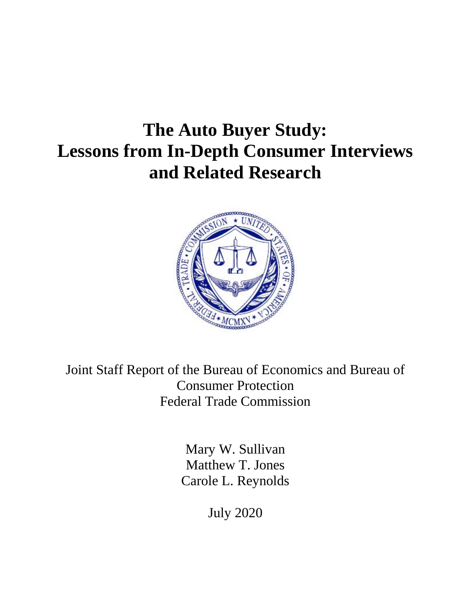# **The Auto Buyer Study: Lessons from In-Depth Consumer Interviews and Related Research**



Joint Staff Report of the Bureau of Economics and Bureau of Consumer Protection Federal Trade Commission

> Mary W. Sullivan Matthew T. Jones Carole L. Reynolds

> > July 2020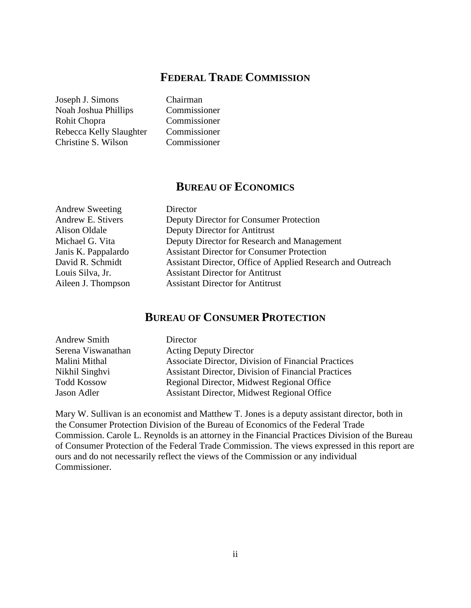## **FEDERAL TRADE COMMISSION**

Joseph J. Simons Chairman Noah Joshua Phillips Commissioner Rohit Chopra Commissioner Rebecca Kelly Slaughter Commissioner Christine S. Wilson Commissioner

## **BUREAU OF ECONOMICS**

Andrew Sweeting Director Andrew E. Stivers Deputy Director for Consumer Protection Alison Oldale Deputy Director for Antitrust Michael G. Vita Deputy Director for Research and Management Janis K. Pappalardo Assistant Director for Consumer Protection David R. Schmidt Assistant Director, Office of Applied Research and Outreach Louis Silva, Jr. Assistant Director for Antitrust Aileen J. Thompson Assistant Director for Antitrust

## **BUREAU OF CONSUMER PROTECTION**

| <b>Andrew Smith</b> | Director                                                   |
|---------------------|------------------------------------------------------------|
| Serena Viswanathan  | <b>Acting Deputy Director</b>                              |
| Malini Mithal       | Associate Director, Division of Financial Practices        |
| Nikhil Singhvi      | <b>Assistant Director, Division of Financial Practices</b> |
| <b>Todd Kossow</b>  | Regional Director, Midwest Regional Office                 |
| Jason Adler         | <b>Assistant Director, Midwest Regional Office</b>         |

Mary W. Sullivan is an economist and Matthew T. Jones is a deputy assistant director, both in the Consumer Protection Division of the Bureau of Economics of the Federal Trade Commission. Carole L. Reynolds is an attorney in the Financial Practices Division of the Bureau of Consumer Protection of the Federal Trade Commission. The views expressed in this report are ours and do not necessarily reflect the views of the Commission or any individual Commissioner.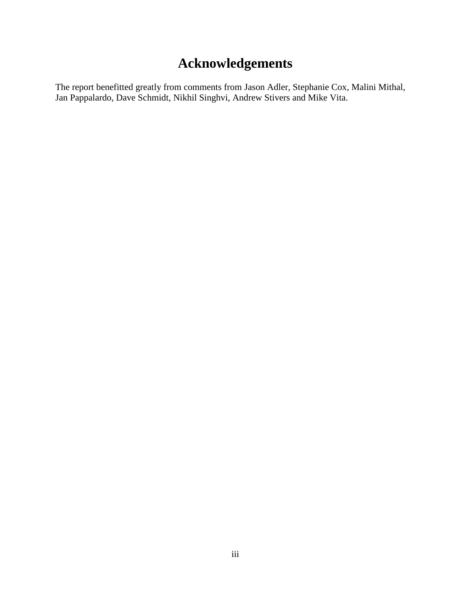## **Acknowledgements**

The report benefitted greatly from comments from Jason Adler, Stephanie Cox, Malini Mithal, Jan Pappalardo, Dave Schmidt, Nikhil Singhvi, Andrew Stivers and Mike Vita.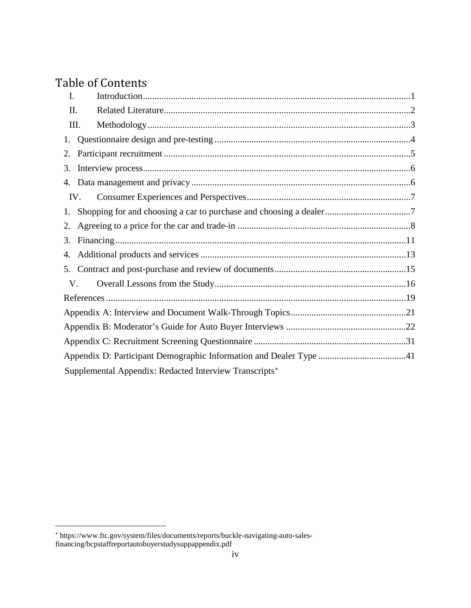## Table of Contents

| I.   |                                                                    |  |
|------|--------------------------------------------------------------------|--|
| II.  |                                                                    |  |
| III. |                                                                    |  |
| 1.   |                                                                    |  |
| 2.   |                                                                    |  |
| 3.   |                                                                    |  |
| 4.   |                                                                    |  |
| IV.  |                                                                    |  |
| 1.   |                                                                    |  |
| 2.   |                                                                    |  |
| 3.   |                                                                    |  |
| 4.   |                                                                    |  |
| 5.   |                                                                    |  |
| V.   |                                                                    |  |
|      |                                                                    |  |
|      |                                                                    |  |
|      |                                                                    |  |
|      |                                                                    |  |
|      | Appendix D: Participant Demographic Information and Dealer Type 41 |  |
|      | Supplemental Appendix: Redacted Interview Transcripts*             |  |

 $\overline{a}$ 

<span id="page-3-0"></span><sup>∗</sup> https://www.ftc.gov/system/files/documents/reports/buckle-navigating-auto-salesfinancing/bcpstaffreportautobuyerstudysuppappendix.pdf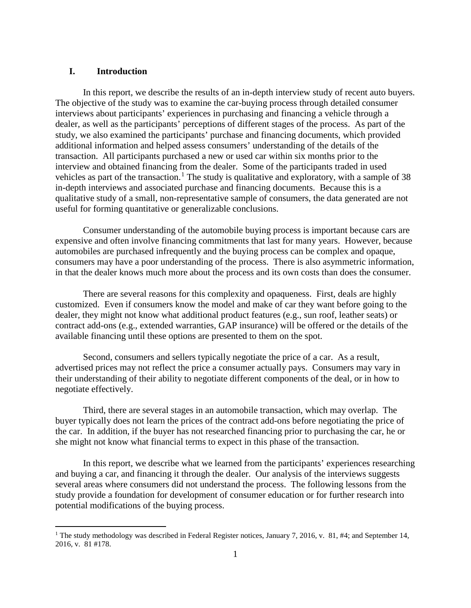#### **I. Introduction**

In this report, we describe the results of an in-depth interview study of recent auto buyers. The objective of the study was to examine the car-buying process through detailed consumer interviews about participants' experiences in purchasing and financing a vehicle through a dealer, as well as the participants' perceptions of different stages of the process. As part of the study, we also examined the participants' purchase and financing documents, which provided additional information and helped assess consumers' understanding of the details of the transaction. All participants purchased a new or used car within six months prior to the interview and obtained financing from the dealer. Some of the participants traded in used vehicles as part of the transaction.<sup>[1](#page-4-0)</sup> The study is qualitative and exploratory, with a sample of 38 in-depth interviews and associated purchase and financing documents. Because this is a qualitative study of a small, non-representative sample of consumers, the data generated are not useful for forming quantitative or generalizable conclusions.

Consumer understanding of the automobile buying process is important because cars are expensive and often involve financing commitments that last for many years. However, because automobiles are purchased infrequently and the buying process can be complex and opaque, consumers may have a poor understanding of the process. There is also asymmetric information, in that the dealer knows much more about the process and its own costs than does the consumer.

There are several reasons for this complexity and opaqueness. First, deals are highly customized. Even if consumers know the model and make of car they want before going to the dealer, they might not know what additional product features (e.g., sun roof, leather seats) or contract add-ons (e.g., extended warranties, GAP insurance) will be offered or the details of the available financing until these options are presented to them on the spot.

Second, consumers and sellers typically negotiate the price of a car. As a result, advertised prices may not reflect the price a consumer actually pays. Consumers may vary in their understanding of their ability to negotiate different components of the deal, or in how to negotiate effectively.

Third, there are several stages in an automobile transaction, which may overlap. The buyer typically does not learn the prices of the contract add-ons before negotiating the price of the car. In addition, if the buyer has not researched financing prior to purchasing the car, he or she might not know what financial terms to expect in this phase of the transaction.

In this report, we describe what we learned from the participants' experiences researching and buying a car, and financing it through the dealer. Our analysis of the interviews suggests several areas where consumers did not understand the process. The following lessons from the study provide a foundation for development of consumer education or for further research into potential modifications of the buying process.

<span id="page-4-0"></span><sup>&</sup>lt;sup>1</sup> The study methodology was described in Federal Register notices, January 7, 2016, v. 81, #4; and September 14, 2016, v. 81 #178.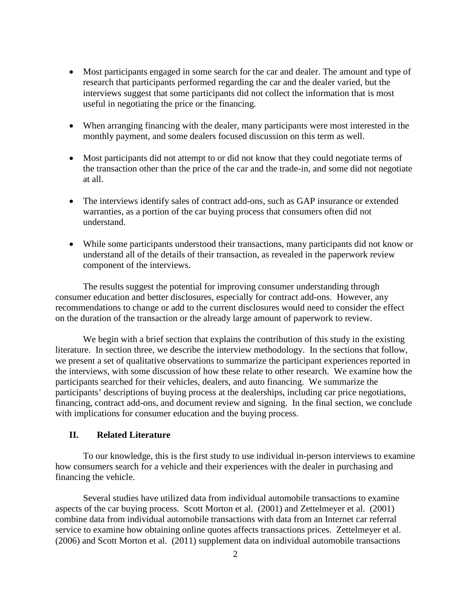- Most participants engaged in some search for the car and dealer. The amount and type of research that participants performed regarding the car and the dealer varied, but the interviews suggest that some participants did not collect the information that is most useful in negotiating the price or the financing.
- When arranging financing with the dealer, many participants were most interested in the monthly payment, and some dealers focused discussion on this term as well.
- Most participants did not attempt to or did not know that they could negotiate terms of the transaction other than the price of the car and the trade-in, and some did not negotiate at all.
- The interviews identify sales of contract add-ons, such as GAP insurance or extended warranties, as a portion of the car buying process that consumers often did not understand.
- While some participants understood their transactions, many participants did not know or understand all of the details of their transaction, as revealed in the paperwork review component of the interviews.

The results suggest the potential for improving consumer understanding through consumer education and better disclosures, especially for contract add-ons. However, any recommendations to change or add to the current disclosures would need to consider the effect on the duration of the transaction or the already large amount of paperwork to review.

We begin with a brief section that explains the contribution of this study in the existing literature. In section three, we describe the interview methodology. In the sections that follow, we present a set of qualitative observations to summarize the participant experiences reported in the interviews, with some discussion of how these relate to other research. We examine how the participants searched for their vehicles, dealers, and auto financing. We summarize the participants' descriptions of buying process at the dealerships, including car price negotiations, financing, contract add-ons, and document review and signing. In the final section, we conclude with implications for consumer education and the buying process.

#### **II. Related Literature**

To our knowledge, this is the first study to use individual in-person interviews to examine how consumers search for a vehicle and their experiences with the dealer in purchasing and financing the vehicle.

Several studies have utilized data from individual automobile transactions to examine aspects of the car buying process. Scott Morton et al. (2001) and Zettelmeyer et al. (2001) combine data from individual automobile transactions with data from an Internet car referral service to examine how obtaining online quotes affects transactions prices. Zettelmeyer et al. (2006) and Scott Morton et al. (2011) supplement data on individual automobile transactions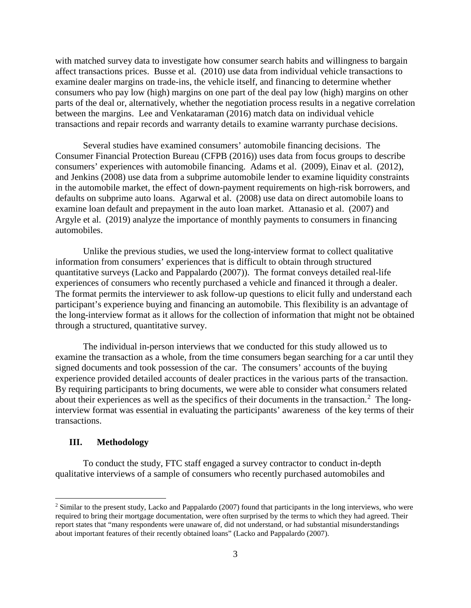with matched survey data to investigate how consumer search habits and willingness to bargain affect transactions prices. Busse et al. (2010) use data from individual vehicle transactions to examine dealer margins on trade-ins, the vehicle itself, and financing to determine whether consumers who pay low (high) margins on one part of the deal pay low (high) margins on other parts of the deal or, alternatively, whether the negotiation process results in a negative correlation between the margins. Lee and Venkataraman (2016) match data on individual vehicle transactions and repair records and warranty details to examine warranty purchase decisions.

Several studies have examined consumers' automobile financing decisions. The Consumer Financial Protection Bureau (CFPB (2016)) uses data from focus groups to describe consumers' experiences with automobile financing. Adams et al. (2009), Einav et al. (2012), and Jenkins (2008) use data from a subprime automobile lender to examine liquidity constraints in the automobile market, the effect of down-payment requirements on high-risk borrowers, and defaults on subprime auto loans. Agarwal et al. (2008) use data on direct automobile loans to examine loan default and prepayment in the auto loan market. Attanasio et al. (2007) and Argyle et al. (2019) analyze the importance of monthly payments to consumers in financing automobiles.

Unlike the previous studies, we used the long-interview format to collect qualitative information from consumers' experiences that is difficult to obtain through structured quantitative surveys (Lacko and Pappalardo (2007)). The format conveys detailed real-life experiences of consumers who recently purchased a vehicle and financed it through a dealer. The format permits the interviewer to ask follow-up questions to elicit fully and understand each participant's experience buying and financing an automobile. This flexibility is an advantage of the long-interview format as it allows for the collection of information that might not be obtained through a structured, quantitative survey.

The individual in-person interviews that we conducted for this study allowed us to examine the transaction as a whole, from the time consumers began searching for a car until they signed documents and took possession of the car. The consumers' accounts of the buying experience provided detailed accounts of dealer practices in the various parts of the transaction. By requiring participants to bring documents, we were able to consider what consumers related about their experiences as well as the specifics of their documents in the transaction.<sup>[2](#page-6-0)</sup> The longinterview format was essential in evaluating the participants' awareness of the key terms of their transactions.

#### **III. Methodology**

To conduct the study, FTC staff engaged a survey contractor to conduct in-depth qualitative interviews of a sample of consumers who recently purchased automobiles and

<span id="page-6-0"></span><sup>&</sup>lt;sup>2</sup> Similar to the present study, Lacko and Pappalardo (2007) found that participants in the long interviews, who were required to bring their mortgage documentation, were often surprised by the terms to which they had agreed. Their report states that "many respondents were unaware of, did not understand, or had substantial misunderstandings about important features of their recently obtained loans" (Lacko and Pappalardo (2007).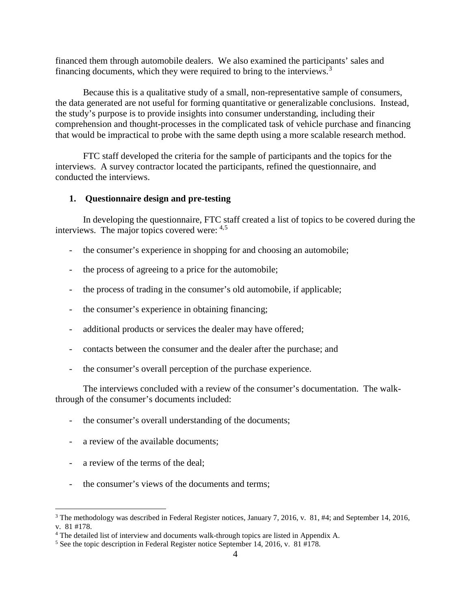financed them through automobile dealers. We also examined the participants' sales and financing documents, which they were required to bring to the interviews.[3](#page-7-0)

Because this is a qualitative study of a small, non-representative sample of consumers, the data generated are not useful for forming quantitative or generalizable conclusions. Instead, the study's purpose is to provide insights into consumer understanding, including their comprehension and thought-processes in the complicated task of vehicle purchase and financing that would be impractical to probe with the same depth using a more scalable research method.

FTC staff developed the criteria for the sample of participants and the topics for the interviews. A survey contractor located the participants, refined the questionnaire, and conducted the interviews.

#### **1. Questionnaire design and pre-testing**

In developing the questionnaire, FTC staff created a list of topics to be covered during the interviews. The major topics covered were: [4,](#page-7-1)[5](#page-7-2)

- the consumer's experience in shopping for and choosing an automobile;
- the process of agreeing to a price for the automobile;
- the process of trading in the consumer's old automobile, if applicable;
- the consumer's experience in obtaining financing;
- additional products or services the dealer may have offered;
- contacts between the consumer and the dealer after the purchase; and
- the consumer's overall perception of the purchase experience.

The interviews concluded with a review of the consumer's documentation. The walkthrough of the consumer's documents included:

- the consumer's overall understanding of the documents;
- a review of the available documents;
- a review of the terms of the deal;
- the consumer's views of the documents and terms:

<span id="page-7-0"></span><sup>&</sup>lt;sup>3</sup> The methodology was described in Federal Register notices, January 7, 2016, v. 81, #4; and September 14, 2016, v. 81 #178.

<span id="page-7-1"></span><sup>4</sup> The detailed list of interview and documents walk-through topics are listed in Appendix A.

<span id="page-7-2"></span><sup>5</sup> See the topic description in Federal Register notice September 14, 2016, v. 81 #178.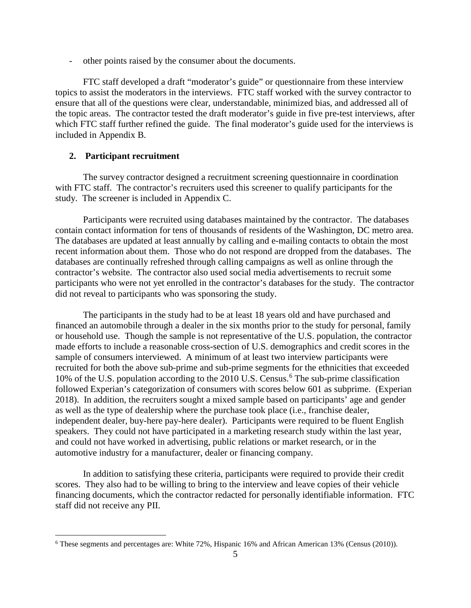- other points raised by the consumer about the documents.

FTC staff developed a draft "moderator's guide" or questionnaire from these interview topics to assist the moderators in the interviews. FTC staff worked with the survey contractor to ensure that all of the questions were clear, understandable, minimized bias, and addressed all of the topic areas. The contractor tested the draft moderator's guide in five pre-test interviews, after which FTC staff further refined the guide. The final moderator's guide used for the interviews is included in Appendix B.

#### **2. Participant recruitment**

The survey contractor designed a recruitment screening questionnaire in coordination with FTC staff. The contractor's recruiters used this screener to qualify participants for the study. The screener is included in Appendix C.

Participants were recruited using databases maintained by the contractor. The databases contain contact information for tens of thousands of residents of the Washington, DC metro area. The databases are updated at least annually by calling and e-mailing contacts to obtain the most recent information about them. Those who do not respond are dropped from the databases. The databases are continually refreshed through calling campaigns as well as online through the contractor's website. The contractor also used social media advertisements to recruit some participants who were not yet enrolled in the contractor's databases for the study. The contractor did not reveal to participants who was sponsoring the study.

The participants in the study had to be at least 18 years old and have purchased and financed an automobile through a dealer in the six months prior to the study for personal, family or household use. Though the sample is not representative of the U.S. population, the contractor made efforts to include a reasonable cross-section of U.S. demographics and credit scores in the sample of consumers interviewed. A minimum of at least two interview participants were recruited for both the above sub-prime and sub-prime segments for the ethnicities that exceeded 10% of the U.S. population according to the 2010 U.S. Census.<sup>[6](#page-8-0)</sup> The sub-prime classification followed Experian's categorization of consumers with scores below 601 as subprime. (Experian 2018). In addition, the recruiters sought a mixed sample based on participants' age and gender as well as the type of dealership where the purchase took place (i.e., franchise dealer, independent dealer, buy-here pay-here dealer). Participants were required to be fluent English speakers. They could not have participated in a marketing research study within the last year, and could not have worked in advertising, public relations or market research, or in the automotive industry for a manufacturer, dealer or financing company.

In addition to satisfying these criteria, participants were required to provide their credit scores. They also had to be willing to bring to the interview and leave copies of their vehicle financing documents, which the contractor redacted for personally identifiable information. FTC staff did not receive any PII.

<span id="page-8-0"></span> <sup>6</sup> These segments and percentages are: White 72%, Hispanic 16% and African American 13% (Census (2010)).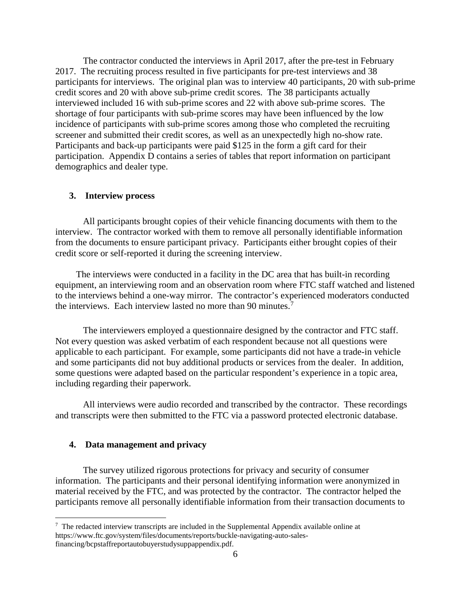The contractor conducted the interviews in April 2017, after the pre-test in February 2017. The recruiting process resulted in five participants for pre-test interviews and 38 participants for interviews. The original plan was to interview 40 participants, 20 with sub-prime credit scores and 20 with above sub-prime credit scores. The 38 participants actually interviewed included 16 with sub-prime scores and 22 with above sub-prime scores. The shortage of four participants with sub-prime scores may have been influenced by the low incidence of participants with sub-prime scores among those who completed the recruiting screener and submitted their credit scores, as well as an unexpectedly high no-show rate. Participants and back-up participants were paid \$125 in the form a gift card for their participation. Appendix D contains a series of tables that report information on participant demographics and dealer type.

#### **3. Interview process**

All participants brought copies of their vehicle financing documents with them to the interview. The contractor worked with them to remove all personally identifiable information from the documents to ensure participant privacy. Participants either brought copies of their credit score or self-reported it during the screening interview.

The interviews were conducted in a facility in the DC area that has built-in recording equipment, an interviewing room and an observation room where FTC staff watched and listened to the interviews behind a one-way mirror. The contractor's experienced moderators conducted the interviews. Each interview lasted no more than 90 minutes. [7](#page-9-0)

The interviewers employed a questionnaire designed by the contractor and FTC staff. Not every question was asked verbatim of each respondent because not all questions were applicable to each participant. For example, some participants did not have a trade-in vehicle and some participants did not buy additional products or services from the dealer. In addition, some questions were adapted based on the particular respondent's experience in a topic area, including regarding their paperwork.

All interviews were audio recorded and transcribed by the contractor. These recordings and transcripts were then submitted to the FTC via a password protected electronic database.

#### **4. Data management and privacy**

The survey utilized rigorous protections for privacy and security of consumer information. The participants and their personal identifying information were anonymized in material received by the FTC, and was protected by the contractor. The contractor helped the participants remove all personally identifiable information from their transaction documents to

<span id="page-9-0"></span><sup>-&</sup>lt;br>7  $\frac{7}{1}$  The redacted interview transcripts are included in the Supplemental Appendix available online at https://www.ftc.gov/system/files/documents/reports/buckle-navigating-auto-salesfinancing/bcpstaffreportautobuyerstudysuppappendix.pdf.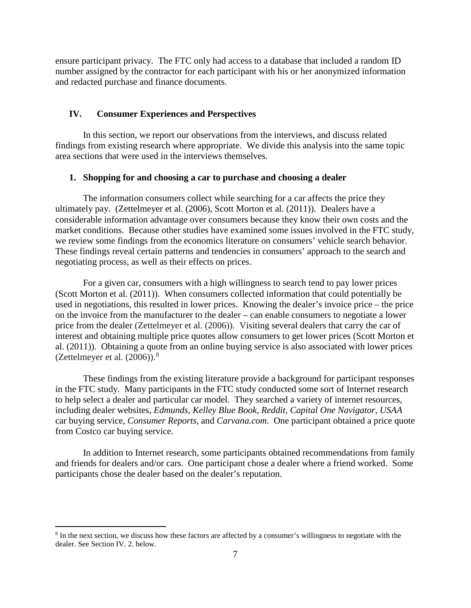ensure participant privacy. The FTC only had access to a database that included a random ID number assigned by the contractor for each participant with his or her anonymized information and redacted purchase and finance documents.

#### **IV. Consumer Experiences and Perspectives**

In this section, we report our observations from the interviews, and discuss related findings from existing research where appropriate. We divide this analysis into the same topic area sections that were used in the interviews themselves.

#### **1. Shopping for and choosing a car to purchase and choosing a dealer**

The information consumers collect while searching for a car affects the price they ultimately pay. (Zettelmeyer et al. (2006), Scott Morton et al. (2011)). Dealers have a considerable information advantage over consumers because they know their own costs and the market conditions. Because other studies have examined some issues involved in the FTC study, we review some findings from the economics literature on consumers' vehicle search behavior. These findings reveal certain patterns and tendencies in consumers' approach to the search and negotiating process, as well as their effects on prices.

For a given car, consumers with a high willingness to search tend to pay lower prices (Scott Morton et al. (2011)). When consumers collected information that could potentially be used in negotiations, this resulted in lower prices. Knowing the dealer's invoice price – the price on the invoice from the manufacturer to the dealer – can enable consumers to negotiate a lower price from the dealer (Zettelmeyer et al. (2006)). Visiting several dealers that carry the car of interest and obtaining multiple price quotes allow consumers to get lower prices (Scott Morton et al. (2011)). Obtaining a quote from an online buying service is also associated with lower prices (Zettelmeyer et al.  $(2006)$ ).<sup>[8](#page-10-0)</sup>

These findings from the existing literature provide a background for participant responses in the FTC study. Many participants in the FTC study conducted some sort of Internet research to help select a dealer and particular car model. They searched a variety of internet resources, including dealer websites, *Edmunds, Kelley Blue Book, Reddit, Capital One Navigator, USAA* car buying service, *Consumer Reports*, and *Carvana.com*. One participant obtained a price quote from Costco car buying service.

In addition to Internet research, some participants obtained recommendations from family and friends for dealers and/or cars. One participant chose a dealer where a friend worked. Some participants chose the dealer based on the dealer's reputation.

<span id="page-10-0"></span> <sup>8</sup> In the next section, we discuss how these factors are affected by a consumer's willingness to negotiate with the dealer. See Section IV. 2. below.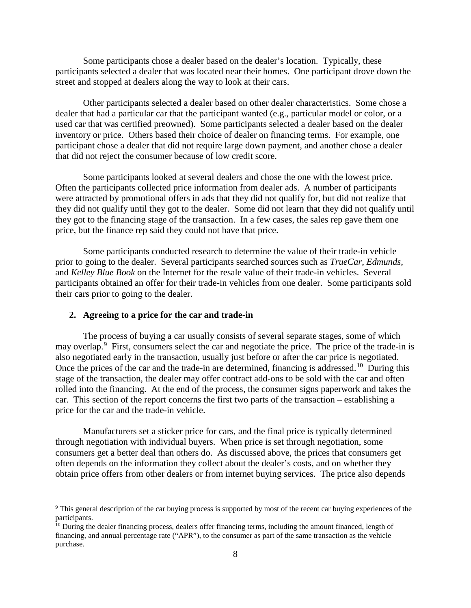Some participants chose a dealer based on the dealer's location. Typically, these participants selected a dealer that was located near their homes. One participant drove down the street and stopped at dealers along the way to look at their cars.

Other participants selected a dealer based on other dealer characteristics. Some chose a dealer that had a particular car that the participant wanted (e.g., particular model or color, or a used car that was certified preowned). Some participants selected a dealer based on the dealer inventory or price. Others based their choice of dealer on financing terms. For example, one participant chose a dealer that did not require large down payment, and another chose a dealer that did not reject the consumer because of low credit score.

Some participants looked at several dealers and chose the one with the lowest price. Often the participants collected price information from dealer ads. A number of participants were attracted by promotional offers in ads that they did not qualify for, but did not realize that they did not qualify until they got to the dealer. Some did not learn that they did not qualify until they got to the financing stage of the transaction. In a few cases, the sales rep gave them one price, but the finance rep said they could not have that price.

Some participants conducted research to determine the value of their trade-in vehicle prior to going to the dealer. Several participants searched sources such as *TrueCar*, *Edmunds*, and *Kelley Blue Book* on the Internet for the resale value of their trade-in vehicles. Several participants obtained an offer for their trade-in vehicles from one dealer. Some participants sold their cars prior to going to the dealer.

#### **2. Agreeing to a price for the car and trade-in**

The process of buying a car usually consists of several separate stages, some of which may overlap.<sup>[9](#page-11-0)</sup> First, consumers select the car and negotiate the price. The price of the trade-in is also negotiated early in the transaction, usually just before or after the car price is negotiated. Once the prices of the car and the trade-in are determined, financing is addressed.<sup>[10](#page-11-1)</sup> During this stage of the transaction, the dealer may offer contract add-ons to be sold with the car and often rolled into the financing. At the end of the process, the consumer signs paperwork and takes the car. This section of the report concerns the first two parts of the transaction – establishing a price for the car and the trade-in vehicle.

Manufacturers set a sticker price for cars, and the final price is typically determined through negotiation with individual buyers. When price is set through negotiation, some consumers get a better deal than others do. As discussed above, the prices that consumers get often depends on the information they collect about the dealer's costs, and on whether they obtain price offers from other dealers or from internet buying services. The price also depends

<span id="page-11-0"></span><sup>&</sup>lt;sup>9</sup> This general description of the car buying process is supported by most of the recent car buying experiences of the participants.

<span id="page-11-1"></span> $10$  During the dealer financing process, dealers offer financing terms, including the amount financed, length of financing, and annual percentage rate ("APR"), to the consumer as part of the same transaction as the vehicle purchase.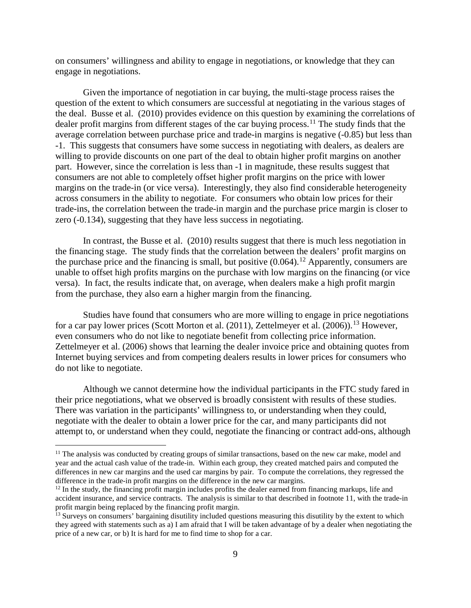on consumers' willingness and ability to engage in negotiations, or knowledge that they can engage in negotiations.

Given the importance of negotiation in car buying, the multi-stage process raises the question of the extent to which consumers are successful at negotiating in the various stages of the deal. Busse et al. (2010) provides evidence on this question by examining the correlations of dealer profit margins from different stages of the car buying process.<sup>[11](#page-12-0)</sup> The study finds that the average correlation between purchase price and trade-in margins is negative (-0.85) but less than -1. This suggests that consumers have some success in negotiating with dealers, as dealers are willing to provide discounts on one part of the deal to obtain higher profit margins on another part. However, since the correlation is less than -1 in magnitude, these results suggest that consumers are not able to completely offset higher profit margins on the price with lower margins on the trade-in (or vice versa). Interestingly, they also find considerable heterogeneity across consumers in the ability to negotiate. For consumers who obtain low prices for their trade-ins, the correlation between the trade-in margin and the purchase price margin is closer to zero (-0.134), suggesting that they have less success in negotiating.

In contrast, the Busse et al. (2010) results suggest that there is much less negotiation in the financing stage. The study finds that the correlation between the dealers' profit margins on the purchase price and the financing is small, but positive  $(0.064)$ .<sup>[12](#page-12-1)</sup> Apparently, consumers are unable to offset high profits margins on the purchase with low margins on the financing (or vice versa). In fact, the results indicate that, on average, when dealers make a high profit margin from the purchase, they also earn a higher margin from the financing.

Studies have found that consumers who are more willing to engage in price negotiations for a car pay lower prices (Scott Morton et al.  $(2011)$ , Zettelmeyer et al.  $(2006)$ ).<sup>[13](#page-12-2)</sup> However, even consumers who do not like to negotiate benefit from collecting price information. Zettelmeyer et al. (2006) shows that learning the dealer invoice price and obtaining quotes from Internet buying services and from competing dealers results in lower prices for consumers who do not like to negotiate.

Although we cannot determine how the individual participants in the FTC study fared in their price negotiations, what we observed is broadly consistent with results of these studies. There was variation in the participants' willingness to, or understanding when they could, negotiate with the dealer to obtain a lower price for the car, and many participants did not attempt to, or understand when they could, negotiate the financing or contract add-ons, although

<span id="page-12-0"></span> $11$  The analysis was conducted by creating groups of similar transactions, based on the new car make, model and year and the actual cash value of the trade-in. Within each group, they created matched pairs and computed the differences in new car margins and the used car margins by pair. To compute the correlations, they regressed the difference in the trade-in profit margins on the difference in the new car margins.<br><sup>12</sup> In the study, the financing profit margin includes profits the dealer earned from financing markups, life and

<span id="page-12-1"></span>accident insurance, and service contracts. The analysis is similar to that described in footnote 11, with the trade-in profit margin being replaced by the financing profit margin.

<span id="page-12-2"></span> $\frac{13}{13}$  Surveys on consumers' bargaining disutility included questions measuring this disutility by the extent to which they agreed with statements such as a) I am afraid that I will be taken advantage of by a dealer when negotiating the price of a new car, or b) It is hard for me to find time to shop for a car.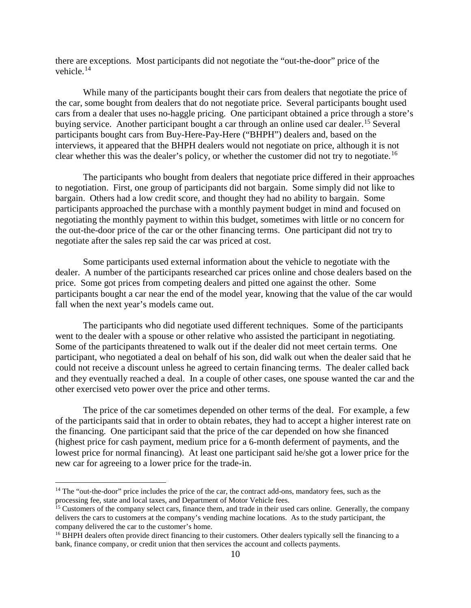there are exceptions. Most participants did not negotiate the "out-the-door" price of the vehicle.[14](#page-13-0)

While many of the participants bought their cars from dealers that negotiate the price of the car, some bought from dealers that do not negotiate price. Several participants bought used cars from a dealer that uses no-haggle pricing. One participant obtained a price through a store's buying service. Another participant bought a car through an online used car dealer.<sup>[15](#page-13-1)</sup> Several participants bought cars from Buy-Here-Pay-Here ("BHPH") dealers and, based on the interviews, it appeared that the BHPH dealers would not negotiate on price, although it is not clear whether this was the dealer's policy, or whether the customer did not try to negotiate. [16](#page-13-2) 

The participants who bought from dealers that negotiate price differed in their approaches to negotiation. First, one group of participants did not bargain. Some simply did not like to bargain. Others had a low credit score, and thought they had no ability to bargain. Some participants approached the purchase with a monthly payment budget in mind and focused on negotiating the monthly payment to within this budget, sometimes with little or no concern for the out-the-door price of the car or the other financing terms. One participant did not try to negotiate after the sales rep said the car was priced at cost.

Some participants used external information about the vehicle to negotiate with the dealer. A number of the participants researched car prices online and chose dealers based on the price. Some got prices from competing dealers and pitted one against the other. Some participants bought a car near the end of the model year, knowing that the value of the car would fall when the next year's models came out.

The participants who did negotiate used different techniques. Some of the participants went to the dealer with a spouse or other relative who assisted the participant in negotiating. Some of the participants threatened to walk out if the dealer did not meet certain terms. One participant, who negotiated a deal on behalf of his son, did walk out when the dealer said that he could not receive a discount unless he agreed to certain financing terms. The dealer called back and they eventually reached a deal. In a couple of other cases, one spouse wanted the car and the other exercised veto power over the price and other terms.

The price of the car sometimes depended on other terms of the deal. For example, a few of the participants said that in order to obtain rebates, they had to accept a higher interest rate on the financing. One participant said that the price of the car depended on how she financed (highest price for cash payment, medium price for a 6-month deferment of payments, and the lowest price for normal financing). At least one participant said he/she got a lower price for the new car for agreeing to a lower price for the trade-in.

<span id="page-13-0"></span><sup>&</sup>lt;sup>14</sup> The "out-the-door" price includes the price of the car, the contract add-ons, mandatory fees, such as the processing fee, state and local taxes, and Department of Motor Vehicle fees.

<span id="page-13-1"></span><sup>&</sup>lt;sup>15</sup> Customers of the company select cars, finance them, and trade in their used cars online. Generally, the company delivers the cars to customers at the company's vending machine locations. As to the study participant, the company delivered the car to the customer's home.

<span id="page-13-2"></span><sup>&</sup>lt;sup>16</sup> BHPH dealers often provide direct financing to their customers. Other dealers typically sell the financing to a bank, finance company, or credit union that then services the account and collects payments.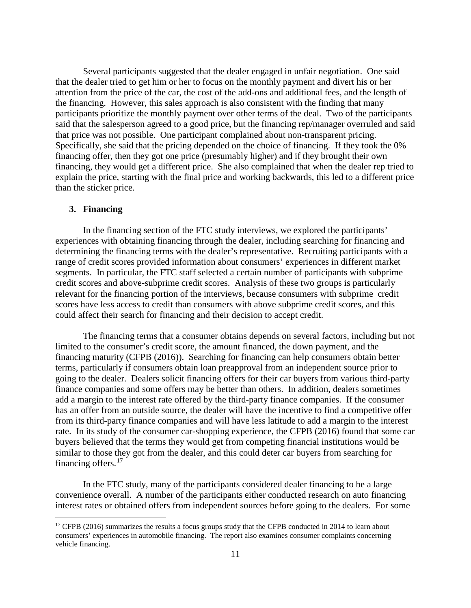Several participants suggested that the dealer engaged in unfair negotiation. One said that the dealer tried to get him or her to focus on the monthly payment and divert his or her attention from the price of the car, the cost of the add-ons and additional fees, and the length of the financing. However, this sales approach is also consistent with the finding that many participants prioritize the monthly payment over other terms of the deal. Two of the participants said that the salesperson agreed to a good price, but the financing rep/manager overruled and said that price was not possible. One participant complained about non-transparent pricing. Specifically, she said that the pricing depended on the choice of financing. If they took the 0% financing offer, then they got one price (presumably higher) and if they brought their own financing, they would get a different price. She also complained that when the dealer rep tried to explain the price, starting with the final price and working backwards, this led to a different price than the sticker price.

#### **3. Financing**

In the financing section of the FTC study interviews, we explored the participants' experiences with obtaining financing through the dealer, including searching for financing and determining the financing terms with the dealer's representative. Recruiting participants with a range of credit scores provided information about consumers' experiences in different market segments. In particular, the FTC staff selected a certain number of participants with subprime credit scores and above-subprime credit scores. Analysis of these two groups is particularly relevant for the financing portion of the interviews, because consumers with subprime credit scores have less access to credit than consumers with above subprime credit scores, and this could affect their search for financing and their decision to accept credit.

The financing terms that a consumer obtains depends on several factors, including but not limited to the consumer's credit score, the amount financed, the down payment, and the financing maturity (CFPB (2016)). Searching for financing can help consumers obtain better terms, particularly if consumers obtain loan preapproval from an independent source prior to going to the dealer. Dealers solicit financing offers for their car buyers from various third-party finance companies and some offers may be better than others. In addition, dealers sometimes add a margin to the interest rate offered by the third-party finance companies. If the consumer has an offer from an outside source, the dealer will have the incentive to find a competitive offer from its third-party finance companies and will have less latitude to add a margin to the interest rate. In its study of the consumer car-shopping experience, the CFPB (2016) found that some car buyers believed that the terms they would get from competing financial institutions would be similar to those they got from the dealer, and this could deter car buyers from searching for financing offers.<sup>[17](#page-14-0)</sup>

In the FTC study, many of the participants considered dealer financing to be a large convenience overall. A number of the participants either conducted research on auto financing interest rates or obtained offers from independent sources before going to the dealers. For some

<span id="page-14-0"></span> $17$  CFPB (2016) summarizes the results a focus groups study that the CFPB conducted in 2014 to learn about consumers' experiences in automobile financing. The report also examines consumer complaints concerning vehicle financing.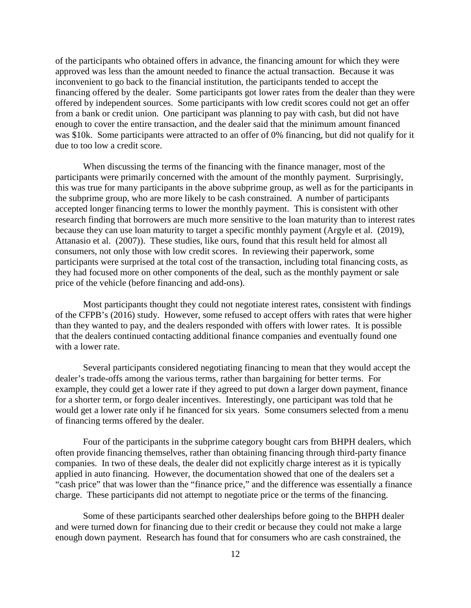of the participants who obtained offers in advance, the financing amount for which they were approved was less than the amount needed to finance the actual transaction. Because it was inconvenient to go back to the financial institution, the participants tended to accept the financing offered by the dealer. Some participants got lower rates from the dealer than they were offered by independent sources. Some participants with low credit scores could not get an offer from a bank or credit union. One participant was planning to pay with cash, but did not have enough to cover the entire transaction, and the dealer said that the minimum amount financed was \$10k. Some participants were attracted to an offer of 0% financing, but did not qualify for it due to too low a credit score.

When discussing the terms of the financing with the finance manager, most of the participants were primarily concerned with the amount of the monthly payment. Surprisingly, this was true for many participants in the above subprime group, as well as for the participants in the subprime group, who are more likely to be cash constrained. A number of participants accepted longer financing terms to lower the monthly payment. This is consistent with other research finding that borrowers are much more sensitive to the loan maturity than to interest rates because they can use loan maturity to target a specific monthly payment (Argyle et al. (2019), Attanasio et al. (2007)). These studies, like ours, found that this result held for almost all consumers, not only those with low credit scores. In reviewing their paperwork, some participants were surprised at the total cost of the transaction, including total financing costs, as they had focused more on other components of the deal, such as the monthly payment or sale price of the vehicle (before financing and add-ons).

Most participants thought they could not negotiate interest rates, consistent with findings of the CFPB's (2016) study. However, some refused to accept offers with rates that were higher than they wanted to pay, and the dealers responded with offers with lower rates. It is possible that the dealers continued contacting additional finance companies and eventually found one with a lower rate.

Several participants considered negotiating financing to mean that they would accept the dealer's trade-offs among the various terms, rather than bargaining for better terms. For example, they could get a lower rate if they agreed to put down a larger down payment, finance for a shorter term, or forgo dealer incentives. Interestingly, one participant was told that he would get a lower rate only if he financed for six years. Some consumers selected from a menu of financing terms offered by the dealer.

Four of the participants in the subprime category bought cars from BHPH dealers, which often provide financing themselves, rather than obtaining financing through third-party finance companies. In two of these deals, the dealer did not explicitly charge interest as it is typically applied in auto financing. However, the documentation showed that one of the dealers set a "cash price" that was lower than the "finance price," and the difference was essentially a finance charge. These participants did not attempt to negotiate price or the terms of the financing.

Some of these participants searched other dealerships before going to the BHPH dealer and were turned down for financing due to their credit or because they could not make a large enough down payment. Research has found that for consumers who are cash constrained, the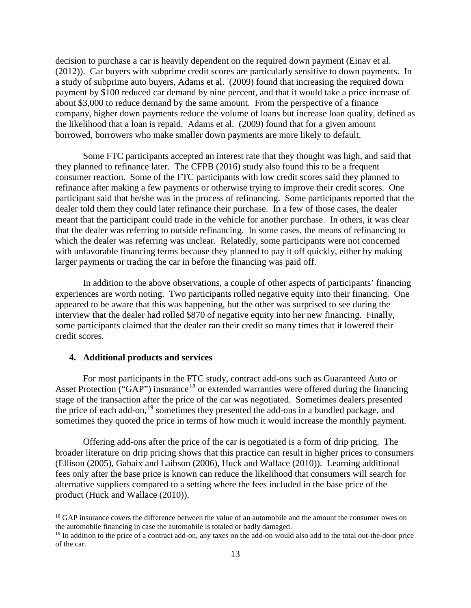decision to purchase a car is heavily dependent on the required down payment (Einav et al. (2012)). Car buyers with subprime credit scores are particularly sensitive to down payments. In a study of subprime auto buyers, Adams et al. (2009) found that increasing the required down payment by \$100 reduced car demand by nine percent, and that it would take a price increase of about \$3,000 to reduce demand by the same amount. From the perspective of a finance company, higher down payments reduce the volume of loans but increase loan quality, defined as the likelihood that a loan is repaid. Adams et al. (2009) found that for a given amount borrowed, borrowers who make smaller down payments are more likely to default.

Some FTC participants accepted an interest rate that they thought was high, and said that they planned to refinance later. The CFPB (2016) study also found this to be a frequent consumer reaction. Some of the FTC participants with low credit scores said they planned to refinance after making a few payments or otherwise trying to improve their credit scores. One participant said that he/she was in the process of refinancing. Some participants reported that the dealer told them they could later refinance their purchase. In a few of those cases, the dealer meant that the participant could trade in the vehicle for another purchase. In others, it was clear that the dealer was referring to outside refinancing. In some cases, the means of refinancing to which the dealer was referring was unclear. Relatedly, some participants were not concerned with unfavorable financing terms because they planned to pay it off quickly, either by making larger payments or trading the car in before the financing was paid off.

In addition to the above observations, a couple of other aspects of participants' financing experiences are worth noting. Two participants rolled negative equity into their financing. One appeared to be aware that this was happening, but the other was surprised to see during the interview that the dealer had rolled \$870 of negative equity into her new financing. Finally, some participants claimed that the dealer ran their credit so many times that it lowered their credit scores.

#### **4. Additional products and services**

For most participants in the FTC study, contract add-ons such as Guaranteed Auto or Asset Protection ("GAP") insurance<sup>[18](#page-16-0)</sup> or extended warranties were offered during the financing stage of the transaction after the price of the car was negotiated. Sometimes dealers presented the price of each add-on,<sup>[19](#page-16-1)</sup> sometimes they presented the add-ons in a bundled package, and sometimes they quoted the price in terms of how much it would increase the monthly payment.

Offering add-ons after the price of the car is negotiated is a form of drip pricing. The broader literature on drip pricing shows that this practice can result in higher prices to consumers (Ellison (2005), Gabaix and Laibson (2006), Huck and Wallace (2010)). Learning additional fees only after the base price is known can reduce the likelihood that consumers will search for alternative suppliers compared to a setting where the fees included in the base price of the product (Huck and Wallace (2010)).

<span id="page-16-0"></span><sup>&</sup>lt;sup>18</sup> GAP insurance covers the difference between the value of an automobile and the amount the consumer owes on the automobile financing in case the automobile is totaled or badly damaged.

<span id="page-16-1"></span><sup>&</sup>lt;sup>19</sup> In addition to the price of a contract add-on, any taxes on the add-on would also add to the total out-the-door price of the car.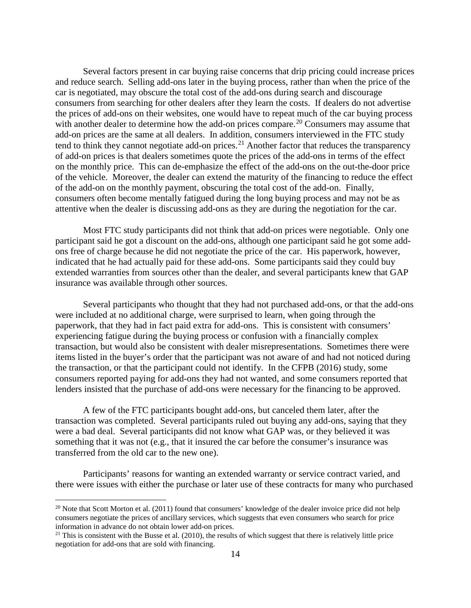Several factors present in car buying raise concerns that drip pricing could increase prices and reduce search. Selling add-ons later in the buying process, rather than when the price of the car is negotiated, may obscure the total cost of the add-ons during search and discourage consumers from searching for other dealers after they learn the costs. If dealers do not advertise the prices of add-ons on their websites, one would have to repeat much of the car buying process with another dealer to determine how the add-on prices compare.<sup>[20](#page-17-0)</sup> Consumers may assume that add-on prices are the same at all dealers. In addition, consumers interviewed in the FTC study tend to think they cannot negotiate add-on prices.<sup>[21](#page-17-1)</sup> Another factor that reduces the transparency of add-on prices is that dealers sometimes quote the prices of the add-ons in terms of the effect on the monthly price. This can de-emphasize the effect of the add-ons on the out-the-door price of the vehicle. Moreover, the dealer can extend the maturity of the financing to reduce the effect of the add-on on the monthly payment, obscuring the total cost of the add-on. Finally, consumers often become mentally fatigued during the long buying process and may not be as attentive when the dealer is discussing add-ons as they are during the negotiation for the car.

Most FTC study participants did not think that add-on prices were negotiable. Only one participant said he got a discount on the add-ons, although one participant said he got some addons free of charge because he did not negotiate the price of the car. His paperwork, however, indicated that he had actually paid for these add-ons. Some participants said they could buy extended warranties from sources other than the dealer, and several participants knew that GAP insurance was available through other sources.

Several participants who thought that they had not purchased add-ons, or that the add-ons were included at no additional charge, were surprised to learn, when going through the paperwork, that they had in fact paid extra for add-ons. This is consistent with consumers' experiencing fatigue during the buying process or confusion with a financially complex transaction, but would also be consistent with dealer misrepresentations. Sometimes there were items listed in the buyer's order that the participant was not aware of and had not noticed during the transaction, or that the participant could not identify. In the CFPB (2016) study, some consumers reported paying for add-ons they had not wanted, and some consumers reported that lenders insisted that the purchase of add-ons were necessary for the financing to be approved.

A few of the FTC participants bought add-ons, but canceled them later, after the transaction was completed. Several participants ruled out buying any add-ons, saying that they were a bad deal. Several participants did not know what GAP was, or they believed it was something that it was not (e.g., that it insured the car before the consumer's insurance was transferred from the old car to the new one).

Participants' reasons for wanting an extended warranty or service contract varied, and there were issues with either the purchase or later use of these contracts for many who purchased

<span id="page-17-0"></span> $20$  Note that Scott Morton et al. (2011) found that consumers' knowledge of the dealer invoice price did not help consumers negotiate the prices of ancillary services, which suggests that even consumers who search for price information in advance do not obtain lower add-on prices.<br><sup>21</sup> This is consistent with the Busse et al. (2010), the results of which suggest that there is relatively little price

<span id="page-17-1"></span>negotiation for add-ons that are sold with financing.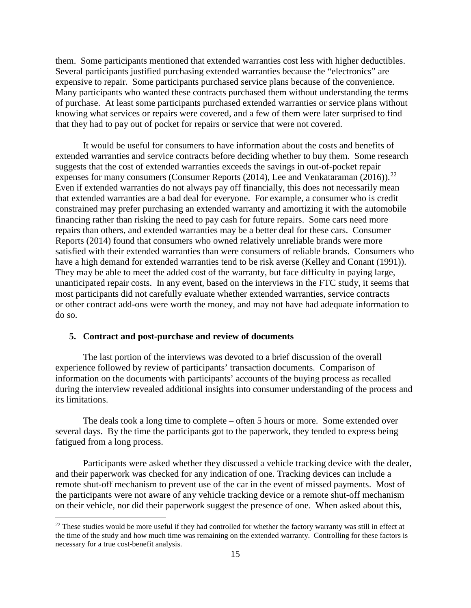them. Some participants mentioned that extended warranties cost less with higher deductibles. Several participants justified purchasing extended warranties because the "electronics" are expensive to repair. Some participants purchased service plans because of the convenience. Many participants who wanted these contracts purchased them without understanding the terms of purchase. At least some participants purchased extended warranties or service plans without knowing what services or repairs were covered, and a few of them were later surprised to find that they had to pay out of pocket for repairs or service that were not covered.

It would be useful for consumers to have information about the costs and benefits of extended warranties and service contracts before deciding whether to buy them. Some research suggests that the cost of extended warranties exceeds the savings in out-of-pocket repair expenses for many consumers (Consumer Reports  $(2014)$ , Lee and Venkataraman  $(2016)$ ).<sup>[22](#page-18-0)</sup> Even if extended warranties do not always pay off financially, this does not necessarily mean that extended warranties are a bad deal for everyone. For example, a consumer who is credit constrained may prefer purchasing an extended warranty and amortizing it with the automobile financing rather than risking the need to pay cash for future repairs. Some cars need more repairs than others, and extended warranties may be a better deal for these cars. Consumer Reports (2014) found that consumers who owned relatively unreliable brands were more satisfied with their extended warranties than were consumers of reliable brands. Consumers who have a high demand for extended warranties tend to be risk averse (Kelley and Conant (1991)). They may be able to meet the added cost of the warranty, but face difficulty in paying large, unanticipated repair costs. In any event, based on the interviews in the FTC study, it seems that most participants did not carefully evaluate whether extended warranties, service contracts or other contract add-ons were worth the money, and may not have had adequate information to do so.

#### **5. Contract and post-purchase and review of documents**

The last portion of the interviews was devoted to a brief discussion of the overall experience followed by review of participants' transaction documents. Comparison of information on the documents with participants' accounts of the buying process as recalled during the interview revealed additional insights into consumer understanding of the process and its limitations.

The deals took a long time to complete – often 5 hours or more. Some extended over several days. By the time the participants got to the paperwork, they tended to express being fatigued from a long process.

Participants were asked whether they discussed a vehicle tracking device with the dealer, and their paperwork was checked for any indication of one. Tracking devices can include a remote shut-off mechanism to prevent use of the car in the event of missed payments. Most of the participants were not aware of any vehicle tracking device or a remote shut-off mechanism on their vehicle, nor did their paperwork suggest the presence of one. When asked about this,

<span id="page-18-0"></span> $22$  These studies would be more useful if they had controlled for whether the factory warranty was still in effect at the time of the study and how much time was remaining on the extended warranty. Controlling for these factors is necessary for a true cost-benefit analysis.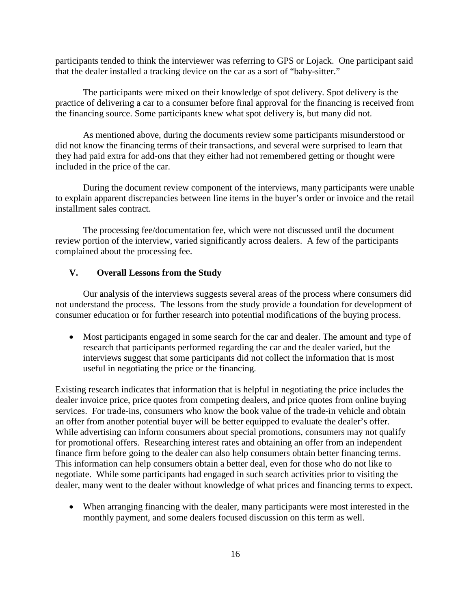participants tended to think the interviewer was referring to GPS or Lojack. One participant said that the dealer installed a tracking device on the car as a sort of "baby-sitter."

The participants were mixed on their knowledge of spot delivery. Spot delivery is the practice of delivering a car to a consumer before final approval for the financing is received from the financing source. Some participants knew what spot delivery is, but many did not.

As mentioned above, during the documents review some participants misunderstood or did not know the financing terms of their transactions, and several were surprised to learn that they had paid extra for add-ons that they either had not remembered getting or thought were included in the price of the car.

During the document review component of the interviews, many participants were unable to explain apparent discrepancies between line items in the buyer's order or invoice and the retail installment sales contract.

The processing fee/documentation fee, which were not discussed until the document review portion of the interview, varied significantly across dealers. A few of the participants complained about the processing fee.

#### **V. Overall Lessons from the Study**

Our analysis of the interviews suggests several areas of the process where consumers did not understand the process. The lessons from the study provide a foundation for development of consumer education or for further research into potential modifications of the buying process.

• Most participants engaged in some search for the car and dealer. The amount and type of research that participants performed regarding the car and the dealer varied, but the interviews suggest that some participants did not collect the information that is most useful in negotiating the price or the financing.

Existing research indicates that information that is helpful in negotiating the price includes the dealer invoice price, price quotes from competing dealers, and price quotes from online buying services. For trade-ins, consumers who know the book value of the trade-in vehicle and obtain an offer from another potential buyer will be better equipped to evaluate the dealer's offer. While advertising can inform consumers about special promotions, consumers may not qualify for promotional offers. Researching interest rates and obtaining an offer from an independent finance firm before going to the dealer can also help consumers obtain better financing terms. This information can help consumers obtain a better deal, even for those who do not like to negotiate. While some participants had engaged in such search activities prior to visiting the dealer, many went to the dealer without knowledge of what prices and financing terms to expect.

• When arranging financing with the dealer, many participants were most interested in the monthly payment, and some dealers focused discussion on this term as well.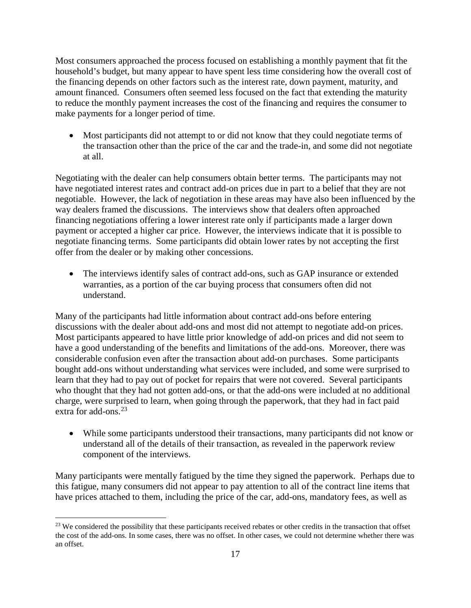Most consumers approached the process focused on establishing a monthly payment that fit the household's budget, but many appear to have spent less time considering how the overall cost of the financing depends on other factors such as the interest rate, down payment, maturity, and amount financed. Consumers often seemed less focused on the fact that extending the maturity to reduce the monthly payment increases the cost of the financing and requires the consumer to make payments for a longer period of time.

• Most participants did not attempt to or did not know that they could negotiate terms of the transaction other than the price of the car and the trade-in, and some did not negotiate at all.

Negotiating with the dealer can help consumers obtain better terms. The participants may not have negotiated interest rates and contract add-on prices due in part to a belief that they are not negotiable. However, the lack of negotiation in these areas may have also been influenced by the way dealers framed the discussions. The interviews show that dealers often approached financing negotiations offering a lower interest rate only if participants made a larger down payment or accepted a higher car price. However, the interviews indicate that it is possible to negotiate financing terms. Some participants did obtain lower rates by not accepting the first offer from the dealer or by making other concessions.

The interviews identify sales of contract add-ons, such as GAP insurance or extended warranties, as a portion of the car buying process that consumers often did not understand.

Many of the participants had little information about contract add-ons before entering discussions with the dealer about add-ons and most did not attempt to negotiate add-on prices. Most participants appeared to have little prior knowledge of add-on prices and did not seem to have a good understanding of the benefits and limitations of the add-ons. Moreover, there was considerable confusion even after the transaction about add-on purchases. Some participants bought add-ons without understanding what services were included, and some were surprised to learn that they had to pay out of pocket for repairs that were not covered. Several participants who thought that they had not gotten add-ons, or that the add-ons were included at no additional charge, were surprised to learn, when going through the paperwork, that they had in fact paid extra for add-ons. [23](#page-20-0) 

• While some participants understood their transactions, many participants did not know or understand all of the details of their transaction, as revealed in the paperwork review component of the interviews.

Many participants were mentally fatigued by the time they signed the paperwork. Perhaps due to this fatigue, many consumers did not appear to pay attention to all of the contract line items that have prices attached to them, including the price of the car, add-ons, mandatory fees, as well as

<span id="page-20-0"></span><sup>&</sup>lt;sup>23</sup> We considered the possibility that these participants received rebates or other credits in the transaction that offset the cost of the add-ons. In some cases, there was no offset. In other cases, we could not determine whether there was an offset.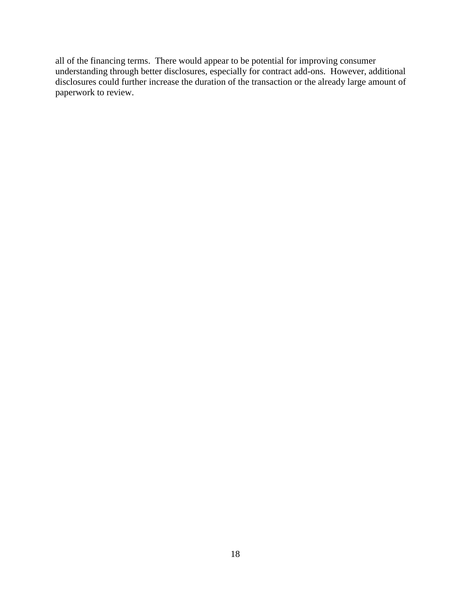all of the financing terms. There would appear to be potential for improving consumer understanding through better disclosures, especially for contract add-ons. However, additional disclosures could further increase the duration of the transaction or the already large amount of paperwork to review.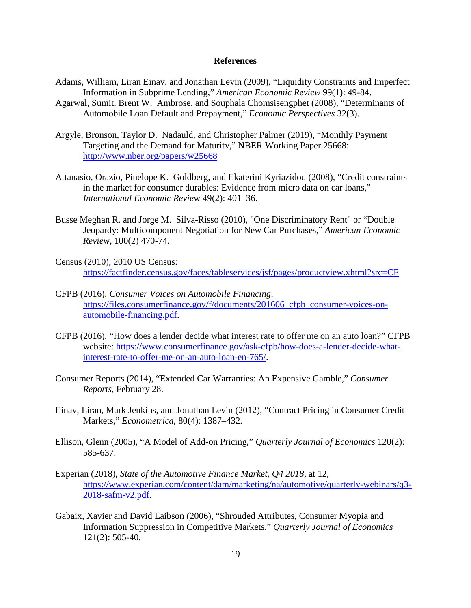#### **References**

- Adams, William, Liran Einav, and Jonathan Levin (2009), "Liquidity Constraints and Imperfect Information in Subprime Lending," *American Economic Review* 99(1): 49-84.
- Agarwal, Sumit, Brent W. Ambrose, and Souphala Chomsisengphet (2008), "Determinants of Automobile Loan Default and Prepayment," *Economic Perspectives* 32(3).
- Argyle, Bronson, Taylor D. Nadauld, and Christopher Palmer (2019), "Monthly Payment Targeting and the Demand for Maturity," NBER Working Paper 25668: <http://www.nber.org/papers/w25668>
- Attanasio, Orazio, Pinelope K. Goldberg, and Ekaterini Kyriazidou (2008), "Credit constraints in the market for consumer durables: Evidence from micro data on car loans," *International Economic Revie*w 49(2): 401–36.
- Busse Meghan R. and Jorge M. Silva-Risso (2010), "One Discriminatory Rent" or "Double Jeopardy: Multicomponent Negotiation for New Car Purchases," *American Economic Review*, 100(2) 470-74.
- Census (2010), 2010 US Census: <https://factfinder.census.gov/faces/tableservices/jsf/pages/productview.xhtml?src=CF>
- CFPB (2016), *Consumer Voices on Automobile Financing*. https://files.consumerfinance.gov/f/documents/201606 cfpb consumer-voices-on[automobile-financing.pdf.](https://files.consumerfinance.gov/f/documents/201606_cfpb_consumer-voices-on-automobile-financing.pdf)
- CFPB (2016), "How does a lender decide what interest rate to offer me on an auto loan?" CFPB website: [https://www.consumerfinance.gov/ask-cfpb/how-does-a-lender-decide-what](https://www.consumerfinance.gov/ask-cfpb/how-does-a-lender-decide-what-interest-rate-to-offer-me-on-an-auto-loan-en-765/)[interest-rate-to-offer-me-on-an-auto-loan-en-765/.](https://www.consumerfinance.gov/ask-cfpb/how-does-a-lender-decide-what-interest-rate-to-offer-me-on-an-auto-loan-en-765/)
- Consumer Reports (2014), "Extended Car Warranties: An Expensive Gamble," *Consumer Reports*, February 28.
- Einav, Liran, Mark Jenkins, and Jonathan Levin (2012), "Contract Pricing in Consumer Credit Markets," *Econometrica*, 80(4): 1387–432.
- Ellison, Glenn (2005), "A Model of Add-on Pricing," *Quarterly Journal of Economics* 120(2): 585-637.
- Experian (2018), *State of the Automotive Finance Market, Q4 2018*, at 12, https://www.experian.com/content/dam/marketing/na/automotive/quarterly-webinars/q3- 2018-safm-v2.pdf.
- Gabaix, Xavier and David Laibson (2006), "Shrouded Attributes, Consumer Myopia and Information Suppression in Competitive Markets," *Quarterly Journal of Economics* 121(2): 505-40.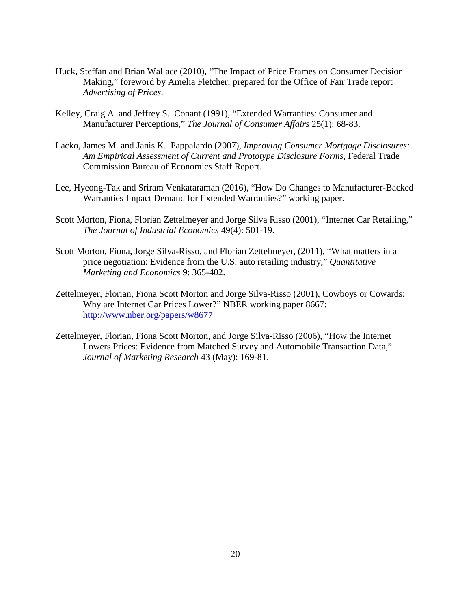- Huck, Steffan and Brian Wallace (2010), "The Impact of Price Frames on Consumer Decision Making," foreword by Amelia Fletcher; prepared for the Office of Fair Trade report *Advertising of Prices*.
- Kelley, Craig A. and Jeffrey S. Conant (1991), "Extended Warranties: Consumer and Manufacturer Perceptions," *The Journal of Consumer Affairs* 25(1): 68-83.
- Lacko, James M. and Janis K. Pappalardo (2007), *Improving Consumer Mortgage Disclosures: Am Empirical Assessment of Current and Prototype Disclosure Forms*, Federal Trade Commission Bureau of Economics Staff Report.
- Lee, Hyeong-Tak and Sriram Venkataraman (2016), "How Do Changes to Manufacturer-Backed Warranties Impact Demand for Extended Warranties?" working paper.
- Scott Morton, Fiona, Florian Zettelmeyer and Jorge Silva Risso (2001), "Internet Car Retailing," *The Journal of Industrial Economics* 49(4): 501-19.
- Scott Morton, Fiona, Jorge Silva-Risso, and Florian Zettelmeyer, (2011), "What matters in a price negotiation: Evidence from the U.S. auto retailing industry," *Quantitative Marketing and Economics* 9: 365-402.
- Zettelmeyer, Florian, Fiona Scott Morton and Jorge Silva-Risso (2001), Cowboys or Cowards: Why are Internet Car Prices Lower?" NBER working paper 8667: <http://www.nber.org/papers/w8677>
- Zettelmeyer, Florian, Fiona Scott Morton, and Jorge Silva-Risso (2006), "How the Internet Lowers Prices: Evidence from Matched Survey and Automobile Transaction Data," *Journal of Marketing Research* 43 (May): 169-81.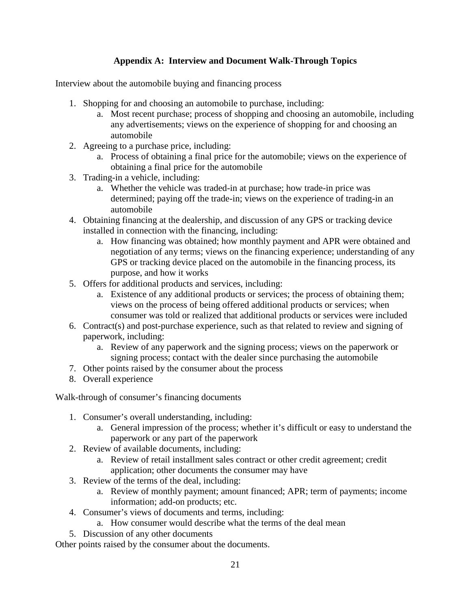## **Appendix A: Interview and Document Walk-Through Topics**

Interview about the automobile buying and financing process

- 1. Shopping for and choosing an automobile to purchase, including:
	- a. Most recent purchase; process of shopping and choosing an automobile, including any advertisements; views on the experience of shopping for and choosing an automobile
- 2. Agreeing to a purchase price, including:
	- a. Process of obtaining a final price for the automobile; views on the experience of obtaining a final price for the automobile
- 3. Trading-in a vehicle, including:
	- a. Whether the vehicle was traded-in at purchase; how trade-in price was determined; paying off the trade-in; views on the experience of trading-in an automobile
- 4. Obtaining financing at the dealership, and discussion of any GPS or tracking device installed in connection with the financing, including:
	- a. How financing was obtained; how monthly payment and APR were obtained and negotiation of any terms; views on the financing experience; understanding of any GPS or tracking device placed on the automobile in the financing process, its purpose, and how it works
- 5. Offers for additional products and services, including:
	- a. Existence of any additional products or services; the process of obtaining them; views on the process of being offered additional products or services; when consumer was told or realized that additional products or services were included
- 6. Contract(s) and post-purchase experience, such as that related to review and signing of paperwork, including:
	- a. Review of any paperwork and the signing process; views on the paperwork or signing process; contact with the dealer since purchasing the automobile
- 7. Other points raised by the consumer about the process
- 8. Overall experience

Walk-through of consumer's financing documents

- 1. Consumer's overall understanding, including:
	- a. General impression of the process; whether it's difficult or easy to understand the paperwork or any part of the paperwork
- 2. Review of available documents, including:
	- a. Review of retail installment sales contract or other credit agreement; credit application; other documents the consumer may have
- 3. Review of the terms of the deal, including:
	- a. Review of monthly payment; amount financed; APR; term of payments; income information; add-on products; etc.
- 4. Consumer's views of documents and terms, including:
	- a. How consumer would describe what the terms of the deal mean
- 5. Discussion of any other documents

Other points raised by the consumer about the documents.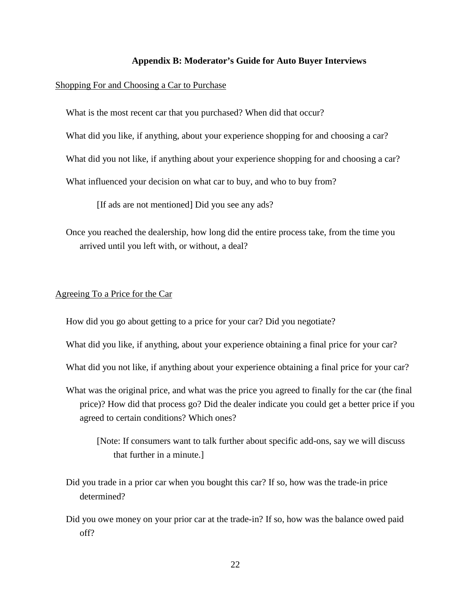#### **Appendix B: Moderator's Guide for Auto Buyer Interviews**

#### Shopping For and Choosing a Car to Purchase

What is the most recent car that you purchased? When did that occur?

What did you like, if anything, about your experience shopping for and choosing a car?

What did you not like, if anything about your experience shopping for and choosing a car?

What influenced your decision on what car to buy, and who to buy from?

[If ads are not mentioned] Did you see any ads?

Once you reached the dealership, how long did the entire process take, from the time you arrived until you left with, or without, a deal?

#### Agreeing To a Price for the Car

How did you go about getting to a price for your car? Did you negotiate?

- What did you like, if anything, about your experience obtaining a final price for your car?
- What did you not like, if anything about your experience obtaining a final price for your car?
- What was the original price, and what was the price you agreed to finally for the car (the final price)? How did that process go? Did the dealer indicate you could get a better price if you agreed to certain conditions? Which ones?
	- [Note: If consumers want to talk further about specific add-ons, say we will discuss that further in a minute.]
- Did you trade in a prior car when you bought this car? If so, how was the trade-in price determined?
- Did you owe money on your prior car at the trade-in? If so, how was the balance owed paid off?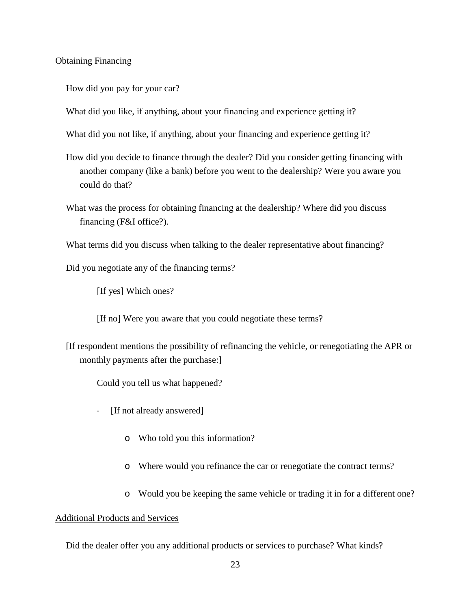#### Obtaining Financing

How did you pay for your car?

What did you like, if anything, about your financing and experience getting it?

What did you not like, if anything, about your financing and experience getting it?

- How did you decide to finance through the dealer? Did you consider getting financing with another company (like a bank) before you went to the dealership? Were you aware you could do that?
- What was the process for obtaining financing at the dealership? Where did you discuss financing (F&I office?).

What terms did you discuss when talking to the dealer representative about financing?

Did you negotiate any of the financing terms?

[If yes] Which ones?

[If no] Were you aware that you could negotiate these terms?

[If respondent mentions the possibility of refinancing the vehicle, or renegotiating the APR or monthly payments after the purchase:]

Could you tell us what happened?

- [If not already answered]
	- o Who told you this information?
	- o Where would you refinance the car or renegotiate the contract terms?
	- o Would you be keeping the same vehicle or trading it in for a different one?

#### Additional Products and Services

Did the dealer offer you any additional products or services to purchase? What kinds?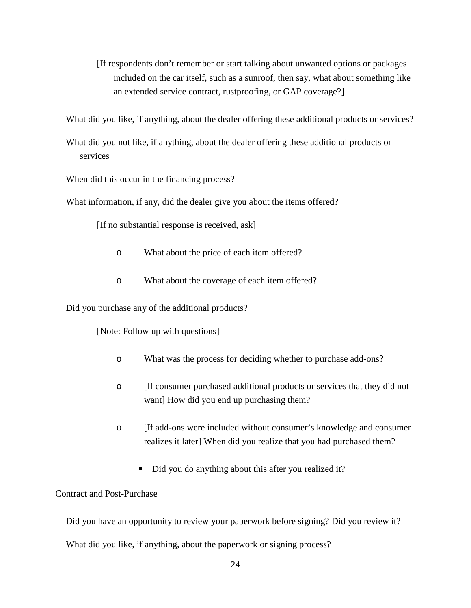[If respondents don't remember or start talking about unwanted options or packages included on the car itself, such as a sunroof, then say, what about something like an extended service contract, rustproofing, or GAP coverage?]

What did you like, if anything, about the dealer offering these additional products or services?

What did you not like, if anything, about the dealer offering these additional products or services

When did this occur in the financing process?

What information, if any, did the dealer give you about the items offered?

[If no substantial response is received, ask]

- o What about the price of each item offered?
- o What about the coverage of each item offered?

Did you purchase any of the additional products?

[Note: Follow up with questions]

- o What was the process for deciding whether to purchase add-ons?
- o [If consumer purchased additional products or services that they did not want] How did you end up purchasing them?
- o [If add-ons were included without consumer's knowledge and consumer realizes it later] When did you realize that you had purchased them?
	- Did you do anything about this after you realized it?

#### Contract and Post-Purchase

Did you have an opportunity to review your paperwork before signing? Did you review it?

What did you like, if anything, about the paperwork or signing process?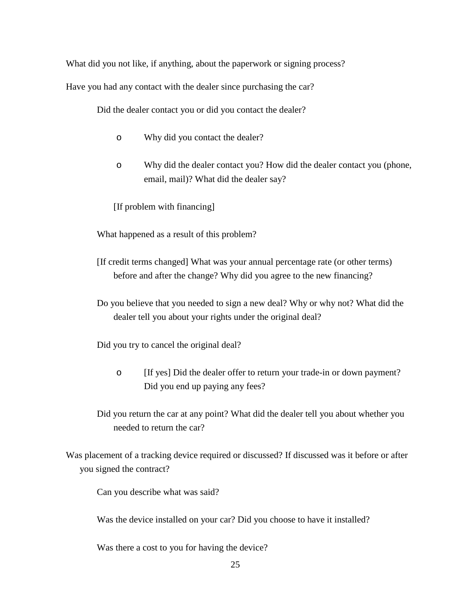What did you not like, if anything, about the paperwork or signing process?

Have you had any contact with the dealer since purchasing the car?

Did the dealer contact you or did you contact the dealer?

- o Why did you contact the dealer?
- o Why did the dealer contact you? How did the dealer contact you (phone, email, mail)? What did the dealer say?

[If problem with financing]

What happened as a result of this problem?

- [If credit terms changed] What was your annual percentage rate (or other terms) before and after the change? Why did you agree to the new financing?
- Do you believe that you needed to sign a new deal? Why or why not? What did the dealer tell you about your rights under the original deal?

Did you try to cancel the original deal?

o [If yes] Did the dealer offer to return your trade-in or down payment? Did you end up paying any fees?

Did you return the car at any point? What did the dealer tell you about whether you needed to return the car?

Was placement of a tracking device required or discussed? If discussed was it before or after you signed the contract?

Can you describe what was said?

Was the device installed on your car? Did you choose to have it installed?

Was there a cost to you for having the device?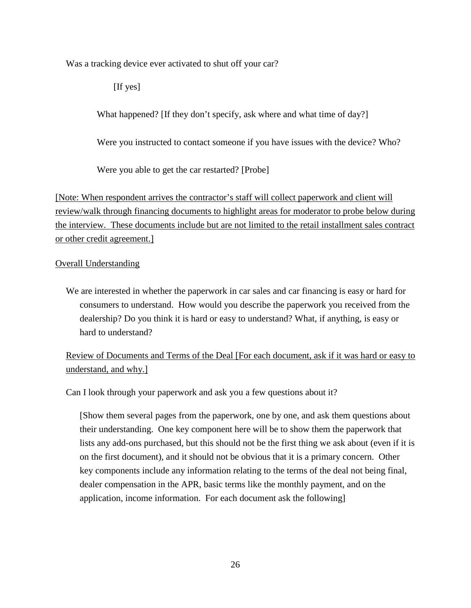Was a tracking device ever activated to shut off your car?

[If yes]

What happened? [If they don't specify, ask where and what time of day?]

Were you instructed to contact someone if you have issues with the device? Who?

Were you able to get the car restarted? [Probe]

[Note: When respondent arrives the contractor's staff will collect paperwork and client will review/walk through financing documents to highlight areas for moderator to probe below during the interview. These documents include but are not limited to the retail installment sales contract or other credit agreement.]

## Overall Understanding

We are interested in whether the paperwork in car sales and car financing is easy or hard for consumers to understand. How would you describe the paperwork you received from the dealership? Do you think it is hard or easy to understand? What, if anything, is easy or hard to understand?

Review of Documents and Terms of the Deal [For each document, ask if it was hard or easy to understand, and why.]

Can I look through your paperwork and ask you a few questions about it?

[Show them several pages from the paperwork, one by one, and ask them questions about their understanding. One key component here will be to show them the paperwork that lists any add-ons purchased, but this should not be the first thing we ask about (even if it is on the first document), and it should not be obvious that it is a primary concern. Other key components include any information relating to the terms of the deal not being final, dealer compensation in the APR, basic terms like the monthly payment, and on the application, income information. For each document ask the following]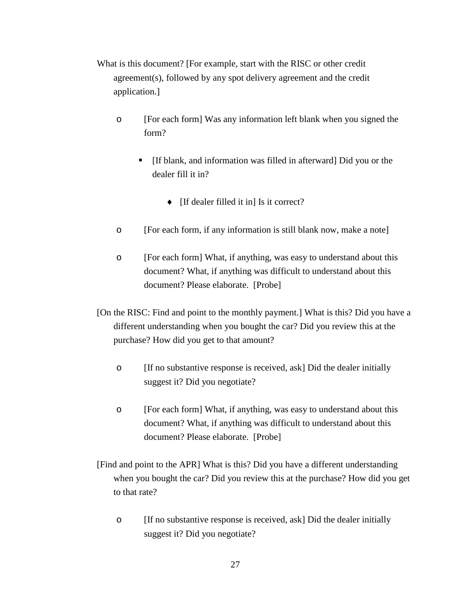- What is this document? [For example, start with the RISC or other credit agreement(s), followed by any spot delivery agreement and the credit application.]
	- o [For each form] Was any information left blank when you signed the form?
		- [If blank, and information was filled in afterward] Did you or the dealer fill it in?
			- ♦ [If dealer filled it in] Is it correct?
	- o [For each form, if any information is still blank now, make a note]
	- o [For each form] What, if anything, was easy to understand about this document? What, if anything was difficult to understand about this document? Please elaborate. [Probe]
- [On the RISC: Find and point to the monthly payment.] What is this? Did you have a different understanding when you bought the car? Did you review this at the purchase? How did you get to that amount?
	- o [If no substantive response is received, ask] Did the dealer initially suggest it? Did you negotiate?
	- o [For each form] What, if anything, was easy to understand about this document? What, if anything was difficult to understand about this document? Please elaborate. [Probe]
- [Find and point to the APR] What is this? Did you have a different understanding when you bought the car? Did you review this at the purchase? How did you get to that rate?
	- o [If no substantive response is received, ask] Did the dealer initially suggest it? Did you negotiate?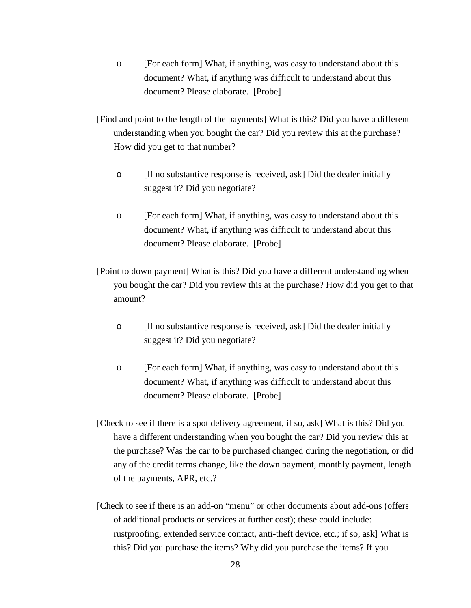- o [For each form] What, if anything, was easy to understand about this document? What, if anything was difficult to understand about this document? Please elaborate. [Probe]
- [Find and point to the length of the payments] What is this? Did you have a different understanding when you bought the car? Did you review this at the purchase? How did you get to that number?
	- o [If no substantive response is received, ask] Did the dealer initially suggest it? Did you negotiate?
	- o [For each form] What, if anything, was easy to understand about this document? What, if anything was difficult to understand about this document? Please elaborate. [Probe]

[Point to down payment] What is this? Did you have a different understanding when you bought the car? Did you review this at the purchase? How did you get to that amount?

- $\circ$  [If no substantive response is received, ask] Did the dealer initially suggest it? Did you negotiate?
- o [For each form] What, if anything, was easy to understand about this document? What, if anything was difficult to understand about this document? Please elaborate. [Probe]
- [Check to see if there is a spot delivery agreement, if so, ask] What is this? Did you have a different understanding when you bought the car? Did you review this at the purchase? Was the car to be purchased changed during the negotiation, or did any of the credit terms change, like the down payment, monthly payment, length of the payments, APR, etc.?
- [Check to see if there is an add-on "menu" or other documents about add-ons (offers of additional products or services at further cost); these could include: rustproofing, extended service contact, anti-theft device, etc.; if so, ask] What is this? Did you purchase the items? Why did you purchase the items? If you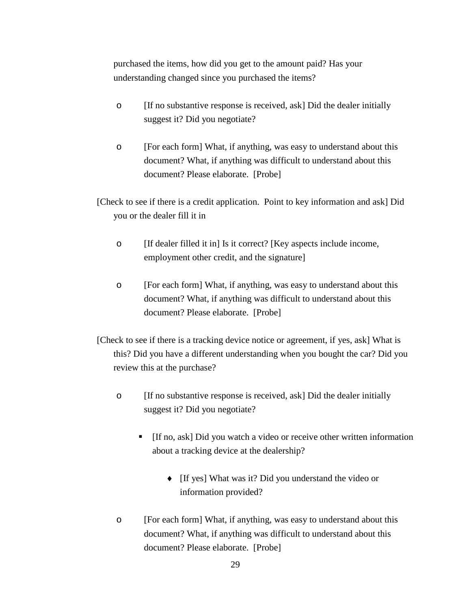purchased the items, how did you get to the amount paid? Has your understanding changed since you purchased the items?

- o [If no substantive response is received, ask] Did the dealer initially suggest it? Did you negotiate?
- o [For each form] What, if anything, was easy to understand about this document? What, if anything was difficult to understand about this document? Please elaborate. [Probe]
- [Check to see if there is a credit application. Point to key information and ask] Did you or the dealer fill it in
	- o [If dealer filled it in] Is it correct? [Key aspects include income, employment other credit, and the signature]
	- o [For each form] What, if anything, was easy to understand about this document? What, if anything was difficult to understand about this document? Please elaborate. [Probe]
- [Check to see if there is a tracking device notice or agreement, if yes, ask] What is this? Did you have a different understanding when you bought the car? Did you review this at the purchase?
	- o [If no substantive response is received, ask] Did the dealer initially suggest it? Did you negotiate?
		- [If no, ask] Did you watch a video or receive other written information about a tracking device at the dealership?
			- ♦ [If yes] What was it? Did you understand the video or information provided?
	- o [For each form] What, if anything, was easy to understand about this document? What, if anything was difficult to understand about this document? Please elaborate. [Probe]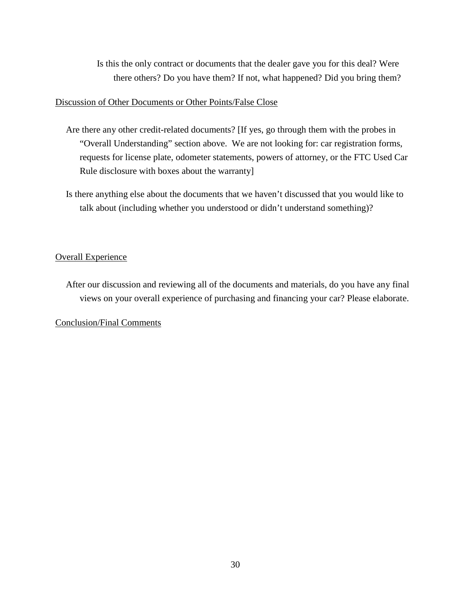Is this the only contract or documents that the dealer gave you for this deal? Were there others? Do you have them? If not, what happened? Did you bring them?

#### Discussion of Other Documents or Other Points/False Close

- Are there any other credit-related documents? [If yes, go through them with the probes in "Overall Understanding" section above. We are not looking for: car registration forms, requests for license plate, odometer statements, powers of attorney, or the FTC Used Car Rule disclosure with boxes about the warranty]
- Is there anything else about the documents that we haven't discussed that you would like to talk about (including whether you understood or didn't understand something)?

## Overall Experience

After our discussion and reviewing all of the documents and materials, do you have any final views on your overall experience of purchasing and financing your car? Please elaborate.

#### Conclusion/Final Comments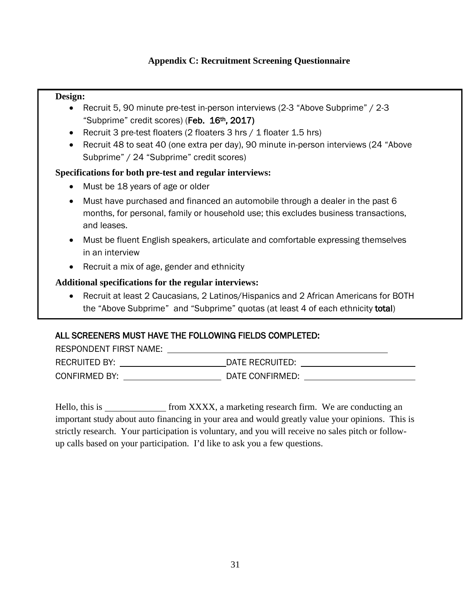## **Appendix C: Recruitment Screening Questionnaire**

## **Design:**

- Recruit 5, 90 minute pre-test in-person interviews (2-3 "Above Subprime" / 2-3 "Subprime" credit scores) (Feb. 16<sup>th</sup>, 2017)
- Recruit 3 pre-test floaters (2 floaters 3 hrs / 1 floater 1.5 hrs)
- Recruit 48 to seat 40 (one extra per day), 90 minute in-person interviews (24 "Above Subprime" / 24 "Subprime" credit scores)

## **Specifications for both pre-test and regular interviews:**

- Must be 18 years of age or older
- Must have purchased and financed an automobile through a dealer in the past 6 months, for personal, family or household use; this excludes business transactions, and leases.
- Must be fluent English speakers, articulate and comfortable expressing themselves in an interview
- Recruit a mix of age, gender and ethnicity

## **Additional specifications for the regular interviews:**

• Recruit at least 2 Caucasians, 2 Latinos/Hispanics and 2 African Americans for BOTH the "Above Subprime" and "Subprime" quotas (at least 4 of each ethnicity total)

## ALL SCREENERS MUST HAVE THE FOLLOWING FIELDS COMPLETED:

RESPONDENT FIRST NAME:

٦

| <b>RECRUITED BY:</b> | DATE RECRUITED: |
|----------------------|-----------------|
| <b>CONFIRMED BY:</b> | DATE CONFIRMED: |

Hello, this is from XXXX, a marketing research firm. We are conducting an important study about auto financing in your area and would greatly value your opinions. This is strictly research. Your participation is voluntary, and you will receive no sales pitch or followup calls based on your participation. I'd like to ask you a few questions.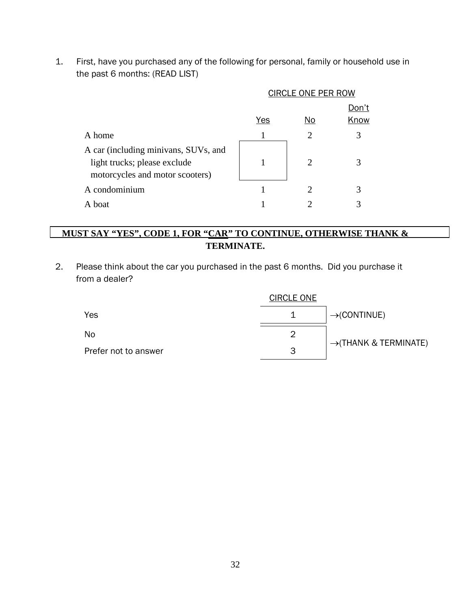1. First, have you purchased any of the following for personal, family or household use in the past 6 months: (READ LIST)

|                                                                                                         | <b>CIRCLE ONE PER ROW</b> |                                                                                                                                            |      |  |  |  |  |
|---------------------------------------------------------------------------------------------------------|---------------------------|--------------------------------------------------------------------------------------------------------------------------------------------|------|--|--|--|--|
|                                                                                                         | <u>Don't</u>              |                                                                                                                                            |      |  |  |  |  |
|                                                                                                         | Yes                       | No                                                                                                                                         | Know |  |  |  |  |
| A home                                                                                                  |                           | 2                                                                                                                                          |      |  |  |  |  |
| A car (including minivans, SUVs, and<br>light trucks; please exclude<br>motorcycles and motor scooters) |                           | $\mathcal{D}_{\mathcal{A}}^{(n)}(\mathcal{A}) = \mathcal{D}_{\mathcal{A}}^{(n)}(\mathcal{A}) \mathcal{D}_{\mathcal{A}}^{(n)}(\mathcal{A})$ |      |  |  |  |  |
| A condominium                                                                                           |                           | ႒                                                                                                                                          |      |  |  |  |  |
| A boat                                                                                                  |                           |                                                                                                                                            |      |  |  |  |  |

## **MUST SAY "YES", CODE 1, FOR "CAR" TO CONTINUE, OTHERWISE THANK & TERMINATE.**

2. Please think about the car you purchased in the past 6 months. Did you purchase it from a dealer?

|                      | <b>CIRCLE ONE</b> |                                   |  |  |  |
|----------------------|-------------------|-----------------------------------|--|--|--|
| Yes                  |                   | $\rightarrow$ (CONTINUE)          |  |  |  |
| No                   |                   | $\rightarrow$ (THANK & TERMINATE) |  |  |  |
| Prefer not to answer | 3                 |                                   |  |  |  |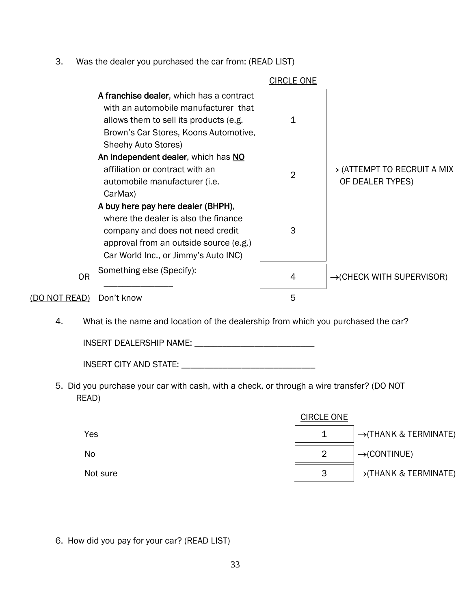3. Was the dealer you purchased the car from: (READ LIST)

|                |                                                                                                                                                                                                  | <b>CIRCLE ONE</b> |                                                             |
|----------------|--------------------------------------------------------------------------------------------------------------------------------------------------------------------------------------------------|-------------------|-------------------------------------------------------------|
|                | A franchise dealer, which has a contract<br>with an automobile manufacturer that<br>allows them to sell its products (e.g.<br>Brown's Car Stores, Koons Automotive,<br>Sheehy Auto Stores)       |                   |                                                             |
|                | An independent dealer, which has NO<br>affiliation or contract with an<br>automobile manufacturer (i.e.<br>CarMax)                                                                               | 2                 | $\rightarrow$ (ATTEMPT TO RECRUIT A MIX<br>OF DEALER TYPES) |
|                | A buy here pay here dealer (BHPH),<br>where the dealer is also the finance<br>company and does not need credit<br>approval from an outside source (e.g.)<br>Car World Inc., or Jimmy's Auto INC) | 3                 |                                                             |
| 0 <sub>R</sub> | Something else (Specify):                                                                                                                                                                        | 4                 | $\rightarrow$ (CHECK WITH SUPERVISOR)                       |
| (DO NOT READ)  | Don't know                                                                                                                                                                                       | 5                 |                                                             |

4. What is the name and location of the dealership from which you purchased the car?

INSERT DEALERSHIP NAME: \_\_\_\_\_\_\_\_\_\_\_\_\_\_\_\_\_\_\_\_\_\_\_\_\_\_

5. Did you purchase your car with cash, with a check, or through a wire transfer? (DO NOT READ)

|           | <b>CIRCLE ONE</b> |                                   |
|-----------|-------------------|-----------------------------------|
| Yes       |                   | $\rightarrow$ (THANK & TERMINATE) |
| <b>No</b> | 2                 | $\rightarrow$ (CONTINUE)          |
| Not sure  | 3                 | $\rightarrow$ (THANK & TERMINATE) |

6. How did you pay for your car? (READ LIST)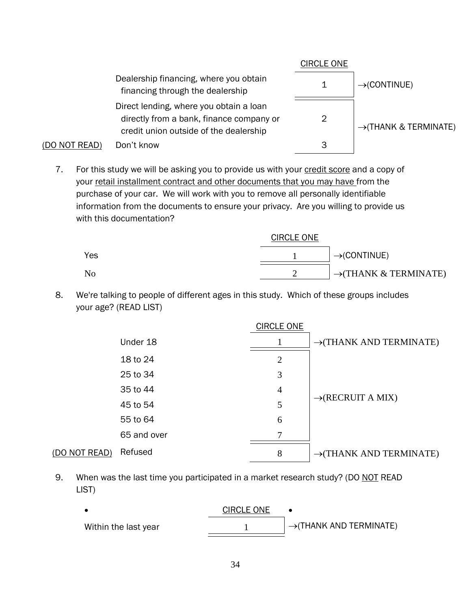

7. For this study we will be asking you to provide us with your credit score and a copy of your retail installment contract and other documents that you may have from the purchase of your car. We will work with you to remove all personally identifiable information from the documents to ensure your privacy. Are you willing to provide us with this documentation?

|     | <b>CIRCLE ONE</b> |                                   |
|-----|-------------------|-----------------------------------|
| Yes |                   | $\rightarrow$ (CONTINUE)          |
| No  |                   | $\rightarrow$ (THANK & TERMINATE) |

8. We're talking to people of different ages in this study. Which of these groups includes your age? (READ LIST)

|               |             | <b>CIRCLE ONE</b> |                                     |
|---------------|-------------|-------------------|-------------------------------------|
|               | Under 18    |                   | $\rightarrow$ (THANK AND TERMINATE) |
|               | 18 to 24    | $\overline{2}$    |                                     |
|               | 25 to 34    | 3                 |                                     |
|               | 35 to 44    | $\overline{4}$    |                                     |
|               | 45 to 54    | 5                 | $\rightarrow$ (RECRUIT A MIX)       |
|               | 55 to 64    | 6                 |                                     |
|               | 65 and over | 7                 |                                     |
| (DO NOT READ) | Refused     | 8                 | $\rightarrow$ (THANK AND TERMINATE) |

9. When was the last time you participated in a market research study? (DO NOT READ LIST)

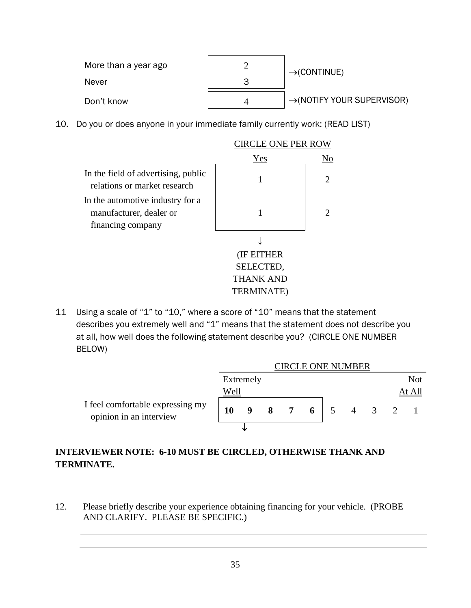| More than a year ago | $\rightarrow$ (CONTINUE)               |
|----------------------|----------------------------------------|
| Never                |                                        |
| Don't know           | $\rightarrow$ (NOTIFY YOUR SUPERVISOR) |

10. Do you or does anyone in your immediate family currently work: (READ LIST)



11 Using a scale of "1" to "10," where a score of "10" means that the statement describes you extremely well and "1" means that the statement does not describe you at all, how well does the following statement describe you? (CIRCLE ONE NUMBER BELOW)

|                                                             | CIRCLE ONE NUMBER |           |                         |                |   |                |                     |  |        |
|-------------------------------------------------------------|-------------------|-----------|-------------------------|----------------|---|----------------|---------------------|--|--------|
|                                                             |                   | Extremely |                         |                |   |                |                     |  | Not    |
|                                                             | Well              |           |                         |                |   |                |                     |  | At All |
| I feel comfortable expressing my<br>opinion in an interview | 10                | 9         | $\overline{\mathbf{8}}$ | $\overline{7}$ | 6 | 5 <sup>5</sup> | $4 \quad 3 \quad 2$ |  |        |
|                                                             |                   | J         |                         |                |   |                |                     |  |        |

## **INTERVIEWER NOTE: 6-10 MUST BE CIRCLED, OTHERWISE THANK AND TERMINATE.**

12. Please briefly describe your experience obtaining financing for your vehicle. (PROBE AND CLARIFY. PLEASE BE SPECIFIC.)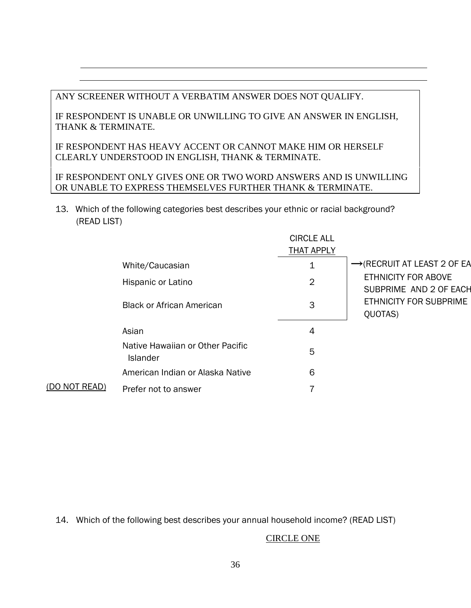ANY SCREENER WITHOUT A VERBATIM ANSWER DOES NOT QUALIFY.

IF RESPONDENT IS UNABLE OR UNWILLING TO GIVE AN ANSWER IN ENGLISH, THANK & TERMINATE.

IF RESPONDENT HAS HEAVY ACCENT OR CANNOT MAKE HIM OR HERSELF CLEARLY UNDERSTOOD IN ENGLISH, THANK & TERMINATE.

IF RESPONDENT ONLY GIVES ONE OR TWO WORD ANSWERS AND IS UNWILLING OR UNABLE TO EXPRESS THEMSELVES FURTHER THANK & TERMINATE.

13. Which of the following categories best describes your ethnic or racial background? (READ LIST)

|               |                                                     | <b>CIRCLE ALL</b> |                                                                    |
|---------------|-----------------------------------------------------|-------------------|--------------------------------------------------------------------|
|               |                                                     | <b>THAT APPLY</b> |                                                                    |
|               | White/Caucasian                                     | 1                 | $\rightarrow$ (RECRUIT AT LEAST 2 OF EA                            |
|               | Hispanic or Latino                                  | $\overline{2}$    | <b>ETHNICITY FOR ABOVE</b>                                         |
|               | <b>Black or African American</b>                    | 3                 | SUBPRIME AND 2 OF EACH<br><b>ETHNICITY FOR SUBPRIME</b><br>QUOTAS) |
|               | Asian                                               | 4                 |                                                                    |
|               | Native Hawaiian or Other Pacific<br><b>Islander</b> | 5                 |                                                                    |
|               | American Indian or Alaska Native                    | 6                 |                                                                    |
| (DO NOT READ) | Prefer not to answer                                |                   |                                                                    |

14. Which of the following best describes your annual household income? (READ LIST)

## CIRCLE ONE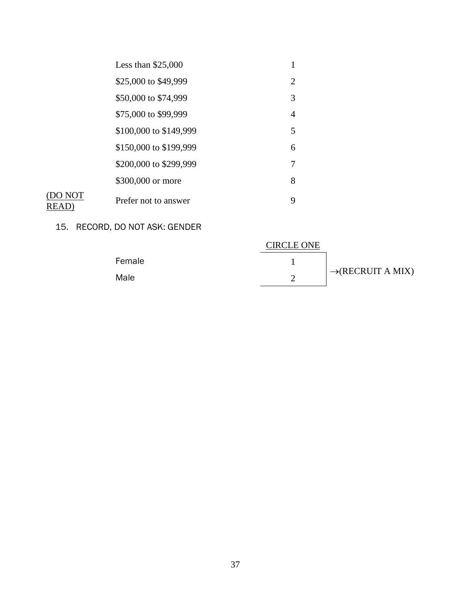| Less than $$25,000$    |   |
|------------------------|---|
| \$25,000 to \$49,999   | 2 |
| \$50,000 to \$74,999   | 3 |
| \$75,000 to \$99,999   | 4 |
| \$100,000 to \$149,999 | 5 |
| \$150,000 to \$199,999 | 6 |
| \$200,000 to \$299,999 | 7 |
| \$300,000 or more      | 8 |
| Prefer not to answer   | 9 |
|                        |   |

## 15. RECORD, DO NOT ASK: GENDER

|        | <b>CIRCLE ONE</b> |                               |
|--------|-------------------|-------------------------------|
| Female |                   |                               |
| Male   |                   | $\rightarrow$ (RECRUIT A MIX) |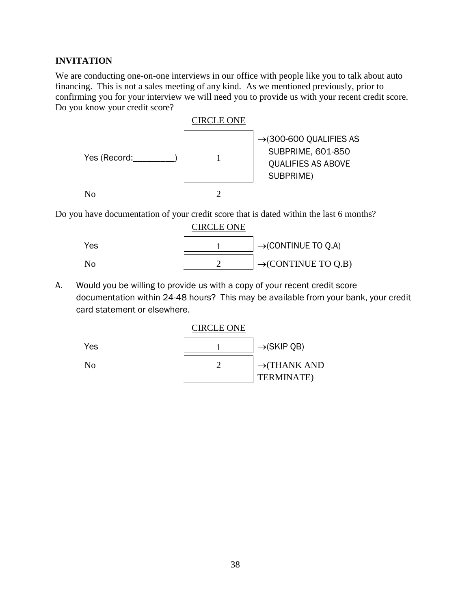## **INVITATION**

We are conducting one-on-one interviews in our office with people like you to talk about auto financing. This is not a sales meeting of any kind. As we mentioned previously, prior to confirming you for your interview we will need you to provide us with your recent credit score. Do you know your credit score?





Do you have documentation of your credit score that is dated within the last 6 months? CIRCI E ONE

|     | <b>UIRCLE ORE</b> |                                 |
|-----|-------------------|---------------------------------|
| Yes |                   | $\rightarrow$ (CONTINUE TO Q.A) |
| N٥  |                   | $\rightarrow$ (CONTINUE TO Q.B) |

A. Would you be willing to provide us with a copy of your recent credit score documentation within 24-48 hours? This may be available from your bank, your credit card statement or elsewhere.

|                | <b>CIRCLE ONE</b> |                          |
|----------------|-------------------|--------------------------|
| Yes            |                   | $\rightarrow$ (SKIP QB)  |
| N <sub>0</sub> |                   | $\rightarrow$ (THANK AND |
|                |                   | <b>TERMINATE</b> )       |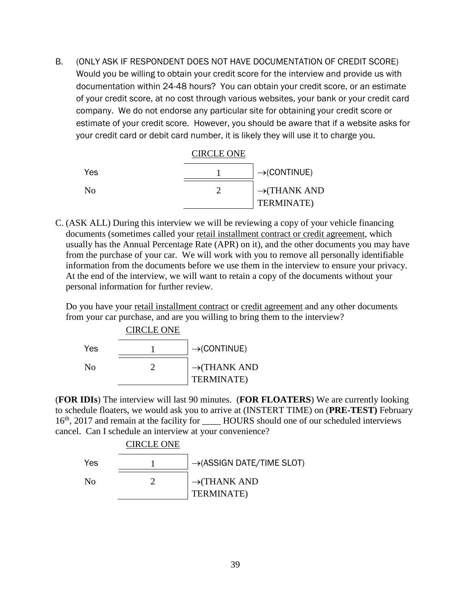B. (ONLY ASK IF RESPONDENT DOES NOT HAVE DOCUMENTATION OF CREDIT SCORE) Would you be willing to obtain your credit score for the interview and provide us with documentation within 24-48 hours? You can obtain your credit score, or an estimate of your credit score, at no cost through various websites, your bank or your credit card company. We do not endorse any particular site for obtaining your credit score or estimate of your credit score. However, you should be aware that if a website asks for your credit card or debit card number, it is likely they will use it to charge you.



C. (ASK ALL) During this interview we will be reviewing a copy of your vehicle financing documents (sometimes called your retail installment contract or credit agreement, which usually has the Annual Percentage Rate (APR) on it), and the other documents you may have from the purchase of your car. We will work with you to remove all personally identifiable information from the documents before we use them in the interview to ensure your privacy. At the end of the interview, we will want to retain a copy of the documents without your personal information for further review.

Do you have your retail installment contract or credit agreement and any other documents from your car purchase, and are you willing to bring them to the interview?



(**FOR IDIs**) The interview will last 90 minutes. (**FOR FLOATERS**) We are currently looking to schedule floaters, we would ask you to arrive at (INSTERT TIME) on (**PRE-TEST)** February 16<sup>th</sup>, 2017 and remain at the facility for \_\_\_\_\_\_\_HOURS should one of our scheduled interviews cancel. Can I schedule an interview at your convenience?

CIRCLE ONE

| Yes | $\rightarrow$ (ASSIGN DATE/TIME SLOT)  |
|-----|----------------------------------------|
| Nο  | $\rightarrow$ (THANK AND<br>TERMINATE) |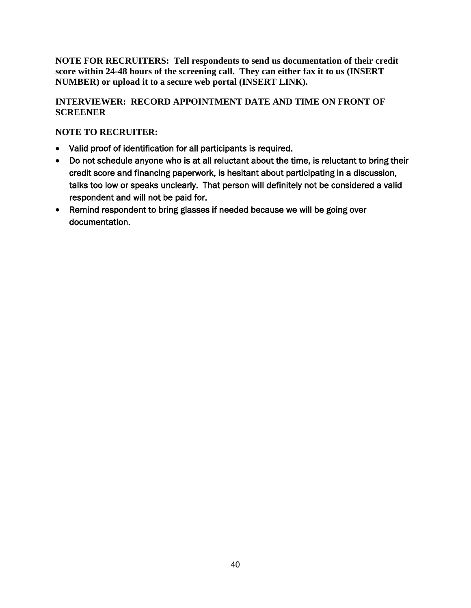**NOTE FOR RECRUITERS: Tell respondents to send us documentation of their credit score within 24-48 hours of the screening call. They can either fax it to us (INSERT NUMBER) or upload it to a secure web portal (INSERT LINK).**

## **INTERVIEWER: RECORD APPOINTMENT DATE AND TIME ON FRONT OF SCREENER**

## **NOTE TO RECRUITER:**

- Valid proof of identification for all participants is required.
- Do not schedule anyone who is at all reluctant about the time, is reluctant to bring their credit score and financing paperwork, is hesitant about participating in a discussion, talks too low or speaks unclearly. That person will definitely not be considered a valid respondent and will not be paid for.
- Remind respondent to bring glasses if needed because we will be going over documentation.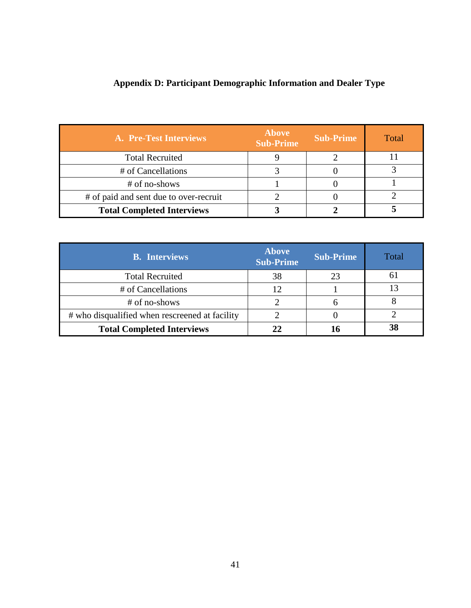| A. Pre-Test Interviews                 | <b>Above</b><br><b>Sub-Prime</b> | <b>Sub-Prime</b> | Total |
|----------------------------------------|----------------------------------|------------------|-------|
| <b>Total Recruited</b>                 |                                  |                  |       |
| # of Cancellations                     |                                  |                  |       |
| # of no-shows                          |                                  |                  |       |
| # of paid and sent due to over-recruit | 2                                |                  |       |
| <b>Total Completed Interviews</b>      |                                  |                  |       |

## **Appendix D: Participant Demographic Information and Dealer Type**

| <b>B.</b> Interviews                           | <b>Above</b><br><b>Sub-Prime</b> | <b>Sub-Prime</b> | Total        |
|------------------------------------------------|----------------------------------|------------------|--------------|
| <b>Total Recruited</b>                         | 38                               | 23               | <sub>0</sub> |
| # of Cancellations                             | 12                               |                  |              |
| # of no-shows                                  |                                  |                  |              |
| # who disqualified when rescreened at facility |                                  |                  |              |
| <b>Total Completed Interviews</b>              | 22                               |                  | 38           |